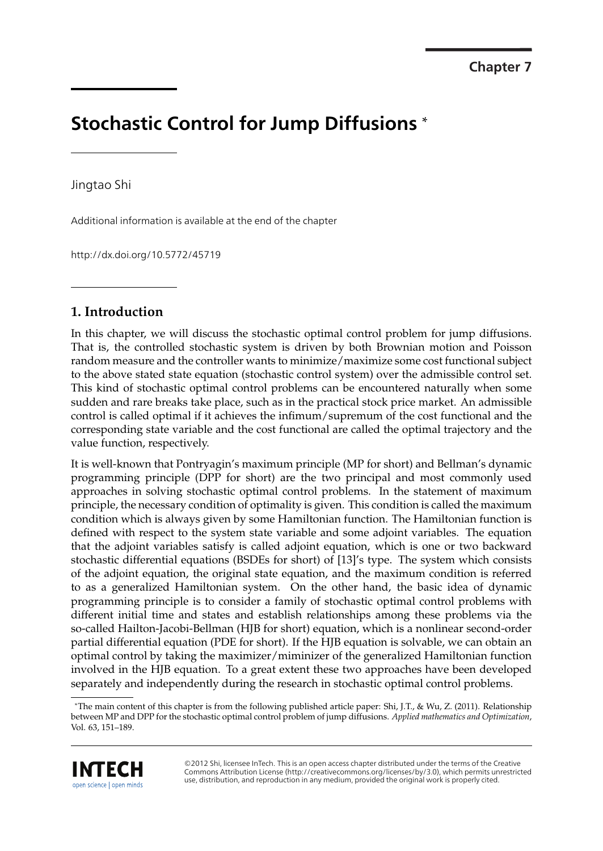# **Stochastic Control for Jump Diffusions** \*

Jingtao Shi

Additional information is available at the end of the chapter

http://dx.doi.org/10.5772/45719

# **1. Introduction**

In this chapter, we will discuss the stochastic optimal control problem for jump diffusions. That is, the controlled stochastic system is driven by both Brownian motion and Poisson random measure and the controller wants to minimize/maximize some cost functional subject to the above stated state equation (stochastic control system) over the admissible control set. This kind of stochastic optimal control problems can be encountered naturally when some sudden and rare breaks take place, such as in the practical stock price market. An admissible control is called optimal if it achieves the infimum/supremum of the cost functional and the corresponding state variable and the cost functional are called the optimal trajectory and the value function, respectively.

It is well-known that Pontryagin's maximum principle (MP for short) and Bellman's dynamic programming principle (DPP for short) are the two principal and most commonly used approaches in solving stochastic optimal control problems. In the statement of maximum principle, the necessary condition of optimality is given. This condition is called the maximum condition which is always given by some Hamiltonian function. The Hamiltonian function is defined with respect to the system state variable and some adjoint variables. The equation that the adjoint variables satisfy is called adjoint equation, which is one or two backward stochastic differential equations (BSDEs for short) of [13]'s type. The system which consists of the adjoint equation, the original state equation, and the maximum condition is referred to as a generalized Hamiltonian system. On the other hand, the basic idea of dynamic programming principle is to consider a family of stochastic optimal control problems with different initial time and states and establish relationships among these problems via the so-called Hailton-Jacobi-Bellman (HJB for short) equation, which is a nonlinear second-order partial differential equation (PDE for short). If the HJB equation is solvable, we can obtain an optimal control by taking the maximizer/miminizer of the generalized Hamiltonian function involved in the HJB equation. To a great extent these two approaches have been developed separately and independently during the research in stochastic optimal control problems.

<sup>\*</sup>The main content of this chapter is from the following published article paper: Shi, J.T., & Wu, Z. (2011). Relationship between MP and DPP for the stochastic optimal control problem of jump diffusions. *Applied mathematics and Optimization*, Vol. 63, 151–189.



©2012 Shi, licensee InTech. This is an open access chapter distributed under the terms of the Creative Commons Attribution License (http://creativecommons.org/licenses/by/3.0), which permits unrestricted use, distribution, and reproduction in any medium, provided the original work is properly cited.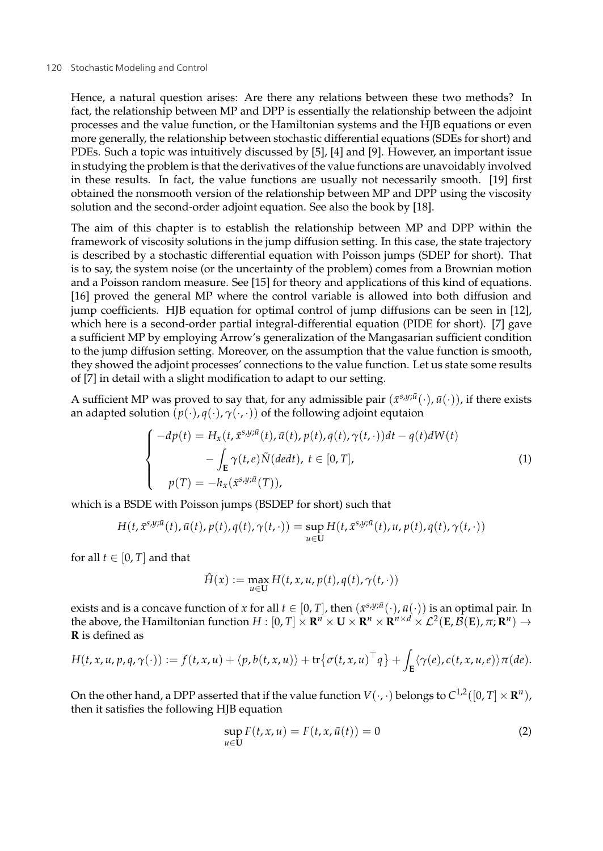#### 120 Stochastic Modeling and Control and The Stockholm and The Stockholm and The Stockholm and The Stockholm and The Stockholm and The Stockholm and The Stockholm and The Stockholm and The Stockholm and The Stockholm and Th

Hence, a natural question arises: Are there any relations between these two methods? In fact, the relationship between MP and DPP is essentially the relationship between the adjoint processes and the value function, or the Hamiltonian systems and the HJB equations or even more generally, the relationship between stochastic differential equations (SDEs for short) and PDEs. Such a topic was intuitively discussed by [5], [4] and [9]. However, an important issue in studying the problem is that the derivatives of the value functions are unavoidably involved in these results. In fact, the value functions are usually not necessarily smooth. [19] first obtained the nonsmooth version of the relationship between MP and DPP using the viscosity solution and the second-order adjoint equation. See also the book by [18].

The aim of this chapter is to establish the relationship between MP and DPP within the framework of viscosity solutions in the jump diffusion setting. In this case, the state trajectory is described by a stochastic differential equation with Poisson jumps (SDEP for short). That is to say, the system noise (or the uncertainty of the problem) comes from a Brownian motion and a Poisson random measure. See [15] for theory and applications of this kind of equations. [16] proved the general MP where the control variable is allowed into both diffusion and jump coefficients. HJB equation for optimal control of jump diffusions can be seen in [12], which here is a second-order partial integral-differential equation (PIDE for short). [7] gave a sufficient MP by employing Arrow's generalization of the Mangasarian sufficient condition to the jump diffusion setting. Moreover, on the assumption that the value function is smooth, they showed the adjoint processes' connections to the value function. Let us state some results of [7] in detail with a slight modification to adapt to our setting.

A sufficient MP was proved to say that, for any admissible pair  $(\bar{x}^{s,y;\bar{u}}(\cdot),\bar{u}(\cdot))$ , if there exists an adapted solution  $(p(\cdot), q(\cdot), \gamma(\cdot, \cdot))$  of the following adjoint equtaion

$$
\begin{cases}\n-dp(t) = H_x(t, \bar{x}^{s,y;\bar{u}}(t), \bar{u}(t), p(t), q(t), \gamma(t, \cdot))dt - q(t)dW(t) \\
-\int_{\mathbf{E}} \gamma(t, e)\tilde{N}(dedt), t \in [0, T], \\
p(T) = -h_x(\bar{x}^{s,y;\bar{u}}(T)),\n\end{cases}
$$
\n(1)

which is a BSDE with Poisson jumps (BSDEP for short) such that

$$
H(t, \bar{x}^{s,y;\bar{u}}(t), \bar{u}(t), p(t), q(t), \gamma(t, \cdot)) = \sup_{u \in U} H(t, \bar{x}^{s,y;\bar{u}}(t), u, p(t), q(t), \gamma(t, \cdot))
$$

for all  $t \in [0, T]$  and that

$$
\hat{H}(x) := \max_{u \in \mathbf{U}} H(t, x, u, p(t), q(t), \gamma(t, \cdot))
$$

exists and is a concave function of *x* for all  $t \in [0, T]$ , then  $(\bar{x}^{s,y;\bar{u}}(\cdot), \bar{u}(\cdot))$  is an optimal pair. In the above, the Hamiltonian function  $H : [0, T] \times \mathbb{R}^n \times \mathbb{R} \times \mathbb{R}^n \times \mathbb{R}^{n \times d} \times \mathcal{L}^2(\mathbf{E}, \mathcal{B}(\mathbf{E}), \pi; \mathbf{R}^n) \rightarrow$ **R** is defined as

$$
H(t, x, u, p, q, \gamma(\cdot)) := f(t, x, u) + \langle p, b(t, x, u) \rangle + \text{tr}\big\{\sigma(t, x, u)^\top q\big\} + \int_{\mathbf{E}} \langle \gamma(e), c(t, x, u, e) \rangle \pi(de).
$$

On the other hand, a DPP asserted that if the value function  $V(\cdot, \cdot)$  belongs to  $C^{1,2}([0, T] \times \mathbb{R}^n)$ , then it satisfies the following HJB equation

$$
\sup_{u \in \mathbf{U}} F(t, x, u) = F(t, x, \bar{u}(t)) = 0 \tag{2}
$$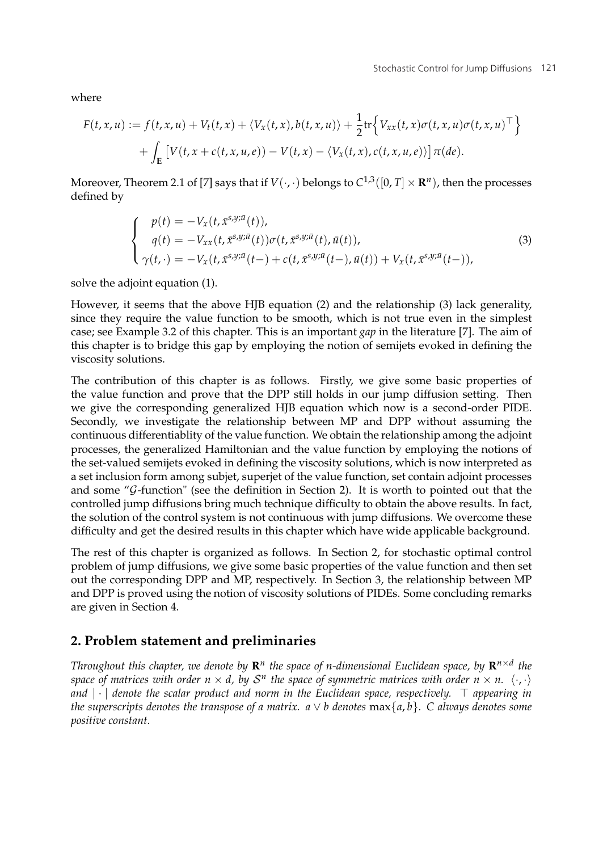where

$$
F(t, x, u) := f(t, x, u) + V_t(t, x) + \langle V_x(t, x), b(t, x, u) \rangle + \frac{1}{2} \text{tr} \Big\{ V_{xx}(t, x) \sigma(t, x, u) \sigma(t, x, u)^\top \Big\} + \int_{\mathbf{E}} \Big[ V(t, x + c(t, x, u, e)) - V(t, x) - \langle V_x(t, x), c(t, x, u, e) \rangle \Big] \pi(de).
$$

Moreover, Theorem 2.1 of [7] says that if  $V(\cdot, \cdot)$  belongs to  $C^{1,3}([0, T] \times \mathbb{R}^n)$ , then the processes defined by

$$
\begin{cases}\n p(t) = -V_x(t, \bar{x}^{s,y;\bar{u}}(t)), \\
 q(t) = -V_{xx}(t, \bar{x}^{s,y;\bar{u}}(t))\sigma(t, \bar{x}^{s,y;\bar{u}}(t), \bar{u}(t)), \\
 \gamma(t, \cdot) = -V_x(t, \bar{x}^{s,y;\bar{u}}(t-)+c(t, \bar{x}^{s,y;\bar{u}}(t-), \bar{u}(t)) + V_x(t, \bar{x}^{s,y;\bar{u}}(t-)),\n\end{cases}
$$
\n(3)

solve the adjoint equation (1).

However, it seems that the above HJB equation (2) and the relationship (3) lack generality, since they require the value function to be smooth, which is not true even in the simplest case; see Example 3.2 of this chapter. This is an important *gap* in the literature [7]. The aim of this chapter is to bridge this gap by employing the notion of semijets evoked in defining the viscosity solutions.

The contribution of this chapter is as follows. Firstly, we give some basic properties of the value function and prove that the DPP still holds in our jump diffusion setting. Then we give the corresponding generalized HJB equation which now is a second-order PIDE. Secondly, we investigate the relationship between MP and DPP without assuming the continuous differentiablity of the value function. We obtain the relationship among the adjoint processes, the generalized Hamiltonian and the value function by employing the notions of the set-valued semijets evoked in defining the viscosity solutions, which is now interpreted as a set inclusion form among subjet, superjet of the value function, set contain adjoint processes and some " $G$ -function" (see the definition in Section 2). It is worth to pointed out that the controlled jump diffusions bring much technique difficulty to obtain the above results. In fact, the solution of the control system is not continuous with jump diffusions. We overcome these difficulty and get the desired results in this chapter which have wide applicable background.

The rest of this chapter is organized as follows. In Section 2, for stochastic optimal control problem of jump diffusions, we give some basic properties of the value function and then set out the corresponding DPP and MP, respectively. In Section 3, the relationship between MP and DPP is proved using the notion of viscosity solutions of PIDEs. Some concluding remarks are given in Section 4.

# **2. Problem statement and preliminaries**

*Throughout this chapter, we denote by*  $\mathbb{R}^n$  *the space of n-dimensional Euclidean space, by*  $\mathbb{R}^{n \times d}$  *the space of matrices with order n*  $\times$  *d, by S<sup>n</sup> the space of symmetric matrices with order n*  $\times$  *n.*  $\langle \cdot, \cdot \rangle$ *and* |·| *denote the scalar product and norm in the Euclidean space, respectively. appearing in the superscripts denotes the transpose of a matrix.*  $a \vee b$  denotes  $\max\{a, b\}$ . C always denotes some *positive constant.*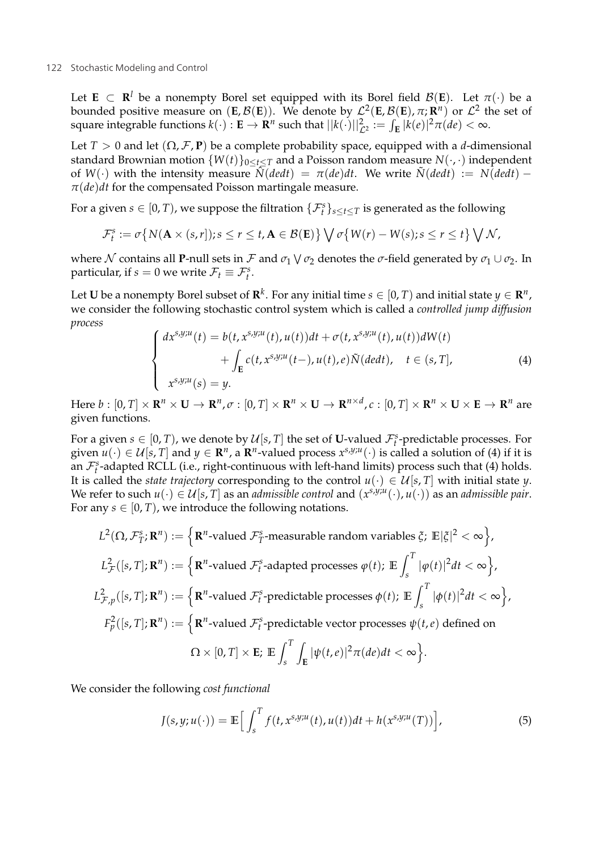Let **E**  $\subset$  **R**<sup>*l*</sup> be a nonempty Borel set equipped with its Borel field  $\mathcal{B}(E)$ . Let  $\pi(\cdot)$  be a bounded positive measure on  $(E, \mathcal{B}(E))$ . We denote by  $\mathcal{L}^2(E, \mathcal{B}(E), \pi; \mathbb{R}^n)$  or  $\mathcal{L}^2$  the set of square integrable functions  $k(\cdot): \mathbf{E} \to \mathbf{R}^n$  such that  $||k(\cdot)||_{\mathcal{L}^2}^2 := \int_{\mathbf{E}} |k(e)|^2 \pi(de) < \infty$ .

Let *T* > 0 and let  $(\Omega, \mathcal{F}, \mathbf{P})$  be a complete probability space, equipped with a *d*-dimensional standard Brownian motion  $\{W(t)\}_{0 \leq t \leq T}$  and a Poisson random measure  $N(\cdot, \cdot)$  independent of *W*(·) with the intensity measure  $\hat{N}(dedt) = \pi(de)dt$ . We write  $\tilde{N}(dedt) := N(dedt) \pi(de)dt$  for the compensated Poisson martingale measure.

For a given  $s \in [0, T)$ , we suppose the filtration  $\{\mathcal{F}_{t}^{s}\}_{s \leq t \leq T}$  is generated as the following

$$
\mathcal{F}_t^s := \sigma\big\{N(\mathbf{A}\times(s,r]); s\leq r\leq t, \mathbf{A}\in\mathcal{B}(\mathbf{E})\big\}\bigvee \sigma\big\{W(r)-W(s); s\leq r\leq t\big\}\bigvee \mathcal{N},
$$

where N contains all **P**-null sets in F and  $\sigma_1 \vee \sigma_2$  denotes the  $\sigma$ -field generated by  $\sigma_1 \cup \sigma_2$ . In particular, if  $s = 0$  we write  $\mathcal{F}_t \equiv \mathcal{F}_t^s$ .

Let **U** be a nonempty Borel subset of  $\mathbb{R}^k$ . For any initial time  $s \in [0, T)$  and initial state  $y \in \mathbb{R}^n$ , we consider the following stochastic control system which is called a *controlled jump diffusion process*

$$
\begin{cases}\ndx^{s,y;u}(t) = b(t, x^{s,y;u}(t), u(t))dt + \sigma(t, x^{s,y;u}(t), u(t))dW(t) \\
\qquad + \int_{\mathbf{E}} c(t, x^{s,y;u}(t-), u(t), e)\tilde{N}(dedt), \quad t \in (s, T], \\
x^{s,y;u}(s) = y.\n\end{cases} \tag{4}
$$

Here  $b:[0,T]\times\mathbb{R}^n\times\mathbf{U}\to\mathbb{R}^n$ ,  $\sigma:[0,T]\times\mathbb{R}^n\times\mathbf{U}\to\mathbb{R}^{n\times d}$ ,  $c:[0,T]\times\mathbb{R}^n\times\mathbf{U}\times\mathbf{E}\to\mathbb{R}^n$  are given functions.

For a given  $s \in [0, T)$ , we denote by  $\mathcal{U}[s, T]$  the set of **U**-valued  $\mathcal{F}^s_t$ -predictable processes. For given  $u(\cdot) \in U[s, T]$  and  $y \in \mathbb{R}^n$ , a  $\mathbb{R}^n$ -valued process  $x^{s,y;u}(\cdot)$  is called a solution of (4) if it is an  $\mathcal{F}_t^s$ -adapted RCLL (i.e., right-continuous with left-hand limits) process such that (4) holds. It is called the *state trajectory* corresponding to the control  $u(\cdot) \in \mathcal{U}[s,T]$  with initial state *y*. We refer to such  $u(\cdot) \in \mathcal{U}[s,T]$  as an *admissible control* and  $(x^{s,y;u}(\cdot), u(\cdot))$  as an *admissible pair*. For any  $s \in [0, T)$ , we introduce the following notations.

$$
L^{2}(\Omega, \mathcal{F}_{T}^{s}; \mathbf{R}^{n}) := \left\{ \mathbf{R}^{n} \text{-valued } \mathcal{F}_{T}^{s} \text{-measurable random variables } \xi; \ \mathbb{E}|\xi|^{2} < \infty \right\},
$$
\n
$$
L_{\mathcal{F}}^{2}([s, T]; \mathbf{R}^{n}) := \left\{ \mathbf{R}^{n} \text{-valued } \mathcal{F}_{t}^{s} \text{-adapted processes } \varphi(t); \ \mathbb{E} \int_{s}^{T} |\varphi(t)|^{2} dt < \infty \right\},
$$
\n
$$
L_{\mathcal{F}, p}^{2}([s, T]; \mathbf{R}^{n}) := \left\{ \mathbf{R}^{n} \text{-valued } \mathcal{F}_{t}^{s} \text{-predictable processes } \varphi(t); \ \mathbb{E} \int_{s}^{T} |\varphi(t)|^{2} dt < \infty \right\},
$$
\n
$$
F_{p}^{2}([s, T]; \mathbf{R}^{n}) := \left\{ \mathbf{R}^{n} \text{-valued } \mathcal{F}_{t}^{s} \text{-predictable vector processes } \psi(t, e) \text{ defined on}
$$
\n
$$
\Omega \times [0, T] \times \mathbf{E}; \ \mathbb{E} \int_{s}^{T} \int_{\mathbf{E}} |\psi(t, e)|^{2} \pi(de) dt < \infty \right\}.
$$

We consider the following *cost functional*

$$
J(s,y;u(\cdot)) = \mathbb{E}\Big[\int_s^T f(t,x^{s,y;u}(t),u(t))dt + h(x^{s,y;u}(T))\Big],\tag{5}
$$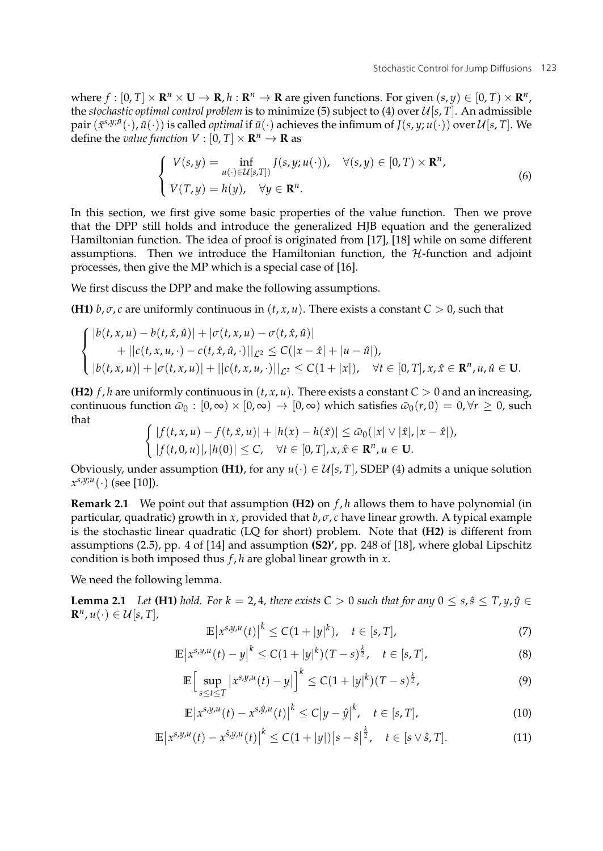where  $f : [0, T] \times \mathbb{R}^n \times \mathbb{U} \to \mathbb{R}, h : \mathbb{R}^n \to \mathbb{R}$  are given functions. For given  $(s, y) \in [0, T] \times \mathbb{R}^n$ , the *stochastic optimal control problem* is to minimize (5) subject to (4) over  $\mathcal{U}[s, T]$ . An admissible  $\text{pair}(\bar{x}^{s,y;\bar{u}}(\cdot),\bar{u}(\cdot))$  is called *optimal* if  $\bar{u}(\cdot)$  achieves the infimum of  $J(s,y;u(\cdot))$  over  $\mathcal{U}[s,T]$ . We define the *value function*  $V : [0, T] \times \mathbb{R}^n \to \mathbb{R}$  as

$$
\begin{cases}\nV(s,y) = \inf_{u(\cdot) \in \mathcal{U}[s,T]} J(s,y; u(\cdot)), & \forall (s,y) \in [0,T) \times \mathbb{R}^n, \\
V(T,y) = h(y), & \forall y \in \mathbb{R}^n.\n\end{cases}
$$
\n(6)

In this section, we first give some basic properties of the value function. Then we prove that the DPP still holds and introduce the generalized HJB equation and the generalized Hamiltonian function. The idea of proof is originated from [17], [18] while on some different assumptions. Then we introduce the Hamiltonian function, the  $H$ -function and adjoint processes, then give the MP which is a special case of [16].

We first discuss the DPP and make the following assumptions.

**(H1)**  $b, \sigma, c$  are uniformly continuous in  $(t, x, u)$ . There exists a constant  $C > 0$ , such that

$$
\begin{cases} |b(t, x, u) - b(t, \hat{x}, \hat{u})| + |\sigma(t, x, u) - \sigma(t, \hat{x}, \hat{u})| \\ + ||c(t, x, u, \cdot) - c(t, \hat{x}, \hat{u}, \cdot)||_{\mathcal{L}^2} \leq C(|x - \hat{x}| + |u - \hat{u}|), \\ |b(t, x, u)| + |\sigma(t, x, u)| + ||c(t, x, u, \cdot)||_{\mathcal{L}^2} \leq C(1 + |x|), \quad \forall t \in [0, T], x, \hat{x} \in \mathbb{R}^n, u, \hat{u} \in \mathbf{U}. \end{cases}
$$

**(H2)**  $f$ ,  $h$  are uniformly continuous in  $(t, x, u)$ . There exists a constant  $C > 0$  and an increasing, continuous function  $\bar{\omega}_0$ :  $[0, \infty) \times [0, \infty) \rightarrow [0, \infty)$  which satisfies  $\bar{\omega}_0(r, 0) = 0, \forall r > 0$ , such that

$$
\begin{cases} |f(t,x,u)-f(t,\hat{x},u)|+|h(x)-h(\hat{x})|\leq \bar{\omega}_0(|x|\vee|\hat{x}|,|x-\hat{x}|),\\ |f(t,0,u)|,|h(0)|\leq C, \quad \forall t\in[0,T], x,\hat{x}\in\mathbb{R}^n, u\in\mathbf{U}. \end{cases}
$$

Obviously, under assumption **(H1)**, for any  $u(\cdot) \in U[s, T]$ , SDEP (4) admits a unique solution  $x^{s,y;u}(\cdot)$  (see [10]).

**Remark 2.1** We point out that assumption **(H2)** on *f* , *h* allows them to have polynomial (in particular, quadratic) growth in *x*, provided that  $b$ ,  $\sigma$ , *c* have linear growth. A typical example is the stochastic linear quadratic (LQ for short) problem. Note that **(H2)** is different from assumptions (2.5), pp. 4 of [14] and assumption **(S2)'**, pp. 248 of [18], where global Lipschitz condition is both imposed thus *f* , *h* are global linear growth in *x*.

We need the following lemma.

**Lemma 2.1** *Let* **(H1)** *hold.* For  $k = 2, 4$ *, there exists*  $C > 0$  *such that for any*  $0 \le s, \hat{s} \le T, \gamma, \hat{\gamma} \in C$  $\mathbf{R}^n, u(\cdot) \in \mathcal{U}[s, T]$ ,

$$
\mathbb{E}|x^{s,y,u}(t)|^{k} \le C(1+|y|^{k}), \quad t \in [s,T],
$$
\n(7)

$$
\mathbb{E}\left|x^{s,y,u}(t)-y\right|^k \le C(1+|y|^k)(T-s)^{\frac{k}{2}}, \quad t \in [s,T],
$$
\n(8)

$$
\mathbb{E}\Big[\sup_{s\leq t\leq T}|x^{s,y,u}(t)-y|\Big]^k\leq C(1+|y|^k)(T-s)^{\frac{k}{2}},\tag{9}
$$

$$
\mathbb{E}\left|x^{s,y,u}(t)-x^{s,\hat{y},u}(t)\right|^k \le C\left|y-\hat{y}\right|^k, \quad t \in [s,T],\tag{10}
$$

$$
\mathbb{E}\left|x^{s,y,u}(t)-x^{\hat{s},y,u}(t)\right|^k \le C(1+|y|)|s-\hat{s}|^{\frac{k}{2}}, \quad t \in [s \vee \hat{s},T]. \tag{11}
$$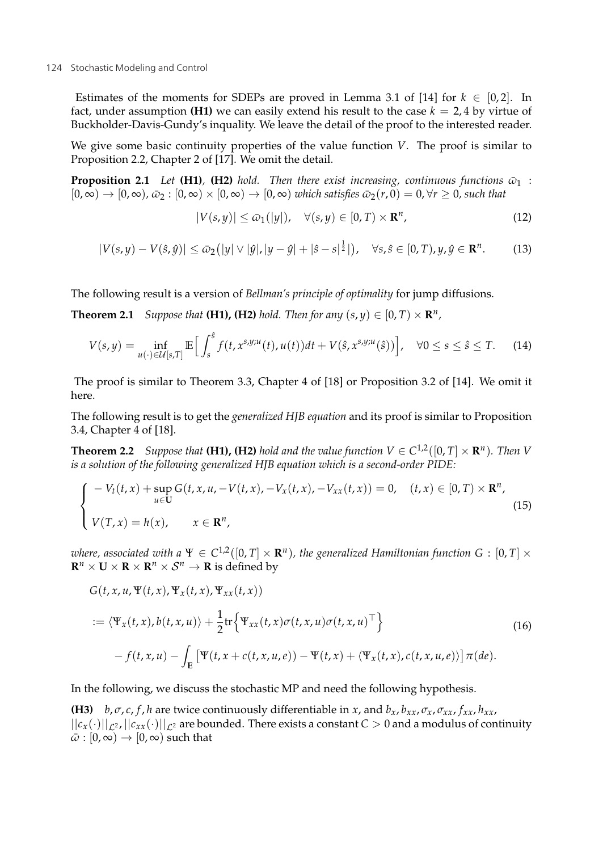Estimates of the moments for SDEPs are proved in Lemma 3.1 of [14] for  $k \in [0,2]$ . In fact, under assumption **(H1)** we can easily extend his result to the case  $k = 2.4$  by virtue of Buckholder-Davis-Gundy's inquality. We leave the detail of the proof to the interested reader.

We give some basic continuity properties of the value function *V*. The proof is similar to Proposition 2.2, Chapter 2 of [17]. We omit the detail.

**Proposition 2.1** *Let* **(H1)***,* **(H2)** *hold. Then there exist increasing, continuous functions*  $\bar{\omega}_1$  :  $[0, \infty) \to [0, \infty), \bar{\omega}_2 : [0, \infty) \times [0, \infty) \to [0, \infty)$  *which satisfies*  $\bar{\omega}_2(r, 0) = 0, \forall r \ge 0$ , such that

$$
|V(s,y)| \le \bar{\omega}_1(|y|), \quad \forall (s,y) \in [0,T) \times \mathbf{R}^n,
$$
\n(12)

$$
|V(s,y)-V(\hat{s},\hat{y})|\leq \bar{\omega}_2(|y|\vee|\hat{y}|,|y-\hat{y}|+|\hat{s}-s|^{\frac{1}{2}}|),\quad\forall s,\hat{s}\in[0,T),y,\hat{y}\in\mathbf{R}^n.\tag{13}
$$

The following result is a version of *Bellman's principle of optimality* for jump diffusions.

**Theorem 2.1** *Suppose that* **(H1), <b>(H2)** *hold. Then for any*  $(s, y) \in [0, T) \times \mathbb{R}^n$ ,

$$
V(s,y) = \inf_{u(\cdot) \in \mathcal{U}[s,T]} \mathbb{E}\Big[\int_s^\hat{s} f(t,x^{s,y;u}(t),u(t))dt + V(\hat{s},x^{s,y;u}(\hat{s}))\Big], \quad \forall 0 \le s \le \hat{s} \le T. \tag{14}
$$

The proof is similar to Theorem 3.3, Chapter 4 of [18] or Proposition 3.2 of [14]. We omit it here.

The following result is to get the *generalized HJB equation* and its proof is similar to Proposition 3.4, Chapter 4 of [18].

**Theorem 2.2** *Suppose that* **(H1), (H2)** *hold and the value function*  $V \in C^{1,2}([0,T] \times \mathbb{R}^n)$ *. Then V is a solution of the following generalized HJB equation which is a second-order PIDE:*

$$
\begin{cases}\n-V_t(t,x) + \sup_{u \in \mathbf{U}} G(t,x,u,-V(t,x),-V_x(t,x),-V_{xx}(t,x)) = 0, & (t,x) \in [0,T) \times \mathbf{R}^n, \\
V(T,x) = h(x), & x \in \mathbf{R}^n,\n\end{cases}
$$
\n(15)

*where, associated with a*  $\Psi \in C^{1,2}([0,T] \times \mathbb{R}^n)$ , the generalized Hamiltonian function G : [0, T]  $\times$  $\mathbb{R}^n \times \mathbb{U} \times \mathbb{R} \times \mathbb{R}^n \times \mathcal{S}^n \to \mathbb{R}$  is defined by

$$
G(t, x, u, \Psi(t, x), \Psi_x(t, x), \Psi_{xx}(t, x))
$$
  

$$
:= \langle \Psi_x(t, x), b(t, x, u) \rangle + \frac{1}{2} \text{tr} \Big\{ \Psi_{xx}(t, x) \sigma(t, x, u) \sigma(t, x, u)^\top \Big\}
$$
(16)  

$$
- f(t, x, u) - \int_{\mathbf{E}} \Big[ \Psi(t, x + c(t, x, u, e)) - \Psi(t, x) + \langle \Psi_x(t, x), c(t, x, u, e) \rangle \Big] \pi(de).
$$

In the following, we discuss the stochastic MP and need the following hypothesis.

**(H3)** *b*, *σ*, *c*, *f*, *h* are twice continuously differentiable in *x*, and  $b_x$ ,  $b_{xx}$ ,  $\sigma_x$ ,  $\sigma_{xx}$ ,  $f_{xx}$ ,  $h_{xx}$ ,  $||c_x(\cdot)||_{c^2}$ ,  $||c_{xx}(\cdot)||_{c^2}$  are bounded. There exists a constant  $C > 0$  and a modulus of continuity  $\bar{\omega}$  :  $[0,\infty) \rightarrow [0,\infty)$  such that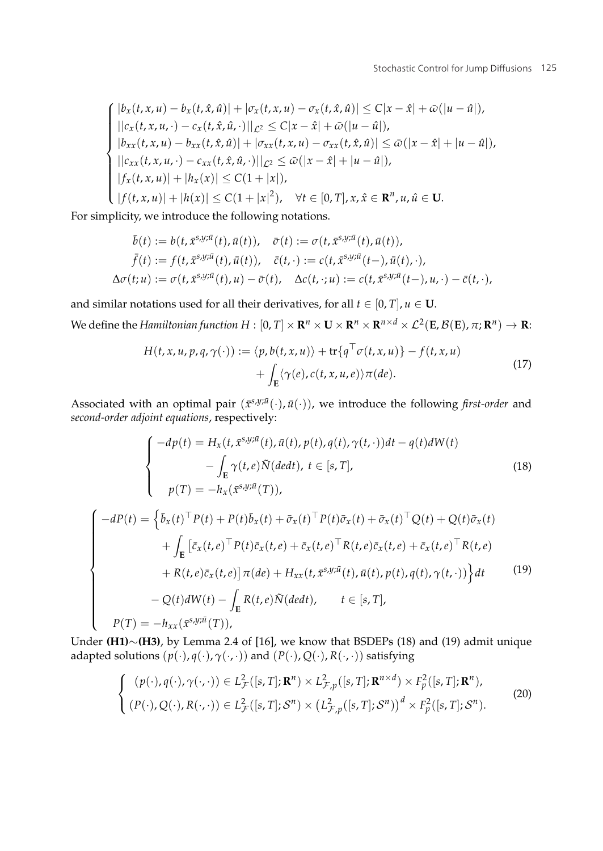$$
\begin{cases}\n|b_x(t, x, u) - b_x(t, \hat{x}, \hat{u})| + |\sigma_x(t, x, u) - \sigma_x(t, \hat{x}, \hat{u})| \le C|x - \hat{x}| + \bar{\omega}(|u - \hat{u}|), \\
||c_x(t, x, u, \cdot) - c_x(t, \hat{x}, \hat{u}, \cdot)||_{\mathcal{L}^2} \le C|x - \hat{x}| + \bar{\omega}(|u - \hat{u}|), \\
|b_{xx}(t, x, u) - b_{xx}(t, \hat{x}, \hat{u})| + |\sigma_{xx}(t, x, u) - \sigma_{xx}(t, \hat{x}, \hat{u})| \le \bar{\omega}(|x - \hat{x}| + |u - \hat{u}|), \\
||c_{xx}(t, x, u, \cdot) - c_{xx}(t, \hat{x}, \hat{u}, \cdot)||_{\mathcal{L}^2} \le \bar{\omega}(|x - \hat{x}| + |u - \hat{u}|), \\
|f_x(t, x, u)| + |h_x(x)| \le C(1 + |x|), \\
|f(t, x, u)| + |h(x)| \le C(1 + |x|^2), \quad \forall t \in [0, T], x, \hat{x} \in \mathbb{R}^n, u, \hat{u} \in \mathbf{U}.\n\end{cases}
$$

For simplicity, we introduce the following notations.

$$
\begin{aligned}\n\bar{b}(t) &:= b(t, \bar{x}^{\mathcal{S},\mathcal{Y};\bar{u}}(t), \bar{u}(t)), \quad \bar{\sigma}(t) := \sigma(t, \bar{x}^{\mathcal{S},\mathcal{Y};\bar{u}}(t), \bar{u}(t)), \\
\bar{f}(t) &:= f(t, \bar{x}^{\mathcal{S},\mathcal{Y};\bar{u}}(t), \bar{u}(t)), \quad \bar{c}(t,\cdot) := c(t, \bar{x}^{\mathcal{S},\mathcal{Y};\bar{u}}(t-), \bar{u}(t), \cdot), \\
\Delta\sigma(t;u) &:= \sigma(t, \bar{x}^{\mathcal{S},\mathcal{Y};\bar{u}}(t), u) - \bar{\sigma}(t), \quad \Delta c(t,\cdot;u) := c(t, \bar{x}^{\mathcal{S},\mathcal{Y};\bar{u}}(t-), u, \cdot) - \bar{c}(t,\cdot),\n\end{aligned}
$$

and similar notations used for all their derivatives, for all  $t \in [0, T]$ ,  $u \in U$ . We define the *Hamiltonian function*  $H : [0, T] \times \mathbb{R}^n \times \mathbb{U} \times \mathbb{R}^n \times \mathbb{R}^{n \times d} \times \mathcal{L}^2(\mathbf{E}, \mathcal{B}(\mathbf{E}), \pi; \mathbf{R}^n) \to \mathbb{R}$ :

$$
H(t, x, u, p, q, \gamma(\cdot)) := \langle p, b(t, x, u) \rangle + \text{tr}\{q^{\top}\sigma(t, x, u)\} - f(t, x, u)
$$
  
+ 
$$
\int_{\mathbf{E}} \langle \gamma(e), c(t, x, u, e) \rangle \pi(de).
$$
 (17)

Associated with an optimal pair  $(\bar{x}^{s,y;\bar{u}}(\cdot),\bar{u}(\cdot))$ , we introduce the following *first-order* and *second-order adjoint equations*, respectively:

$$
\begin{cases}\n-dp(t) = H_x(t, \bar{x}^{s,y;\bar{u}}(t), \bar{u}(t), p(t), q(t), \gamma(t, \cdot))dt - q(t)dW(t) \\
-\int_E \gamma(t, e)\tilde{N}(dedt), t \in [s, T], \\
p(T) = -h_x(\bar{x}^{s,y;\bar{u}}(T)),\n\end{cases}
$$
\n(18)

$$
\begin{cases}\n-dP(t) = \left\{\bar{b}_x(t)^\top P(t) + P(t)\bar{b}_x(t) + \bar{\sigma}_x(t)^\top P(t)\bar{\sigma}_x(t) + \bar{\sigma}_x(t)^\top Q(t) + Q(t)\bar{\sigma}_x(t) \right. \\
\left. + \int_E \left[\bar{c}_x(t,e)^\top P(t)\bar{c}_x(t,e) + \bar{c}_x(t,e)^\top R(t,e)\bar{c}_x(t,e) + \bar{c}_x(t,e)^\top R(t,e) \right. \\
\left. + R(t,e)\bar{c}_x(t,e)\right] \pi(de) + H_{xx}(t,\bar{x}^{s,y;\bar{u}}(t),\bar{u}(t),p(t),q(t),\gamma(t,\cdot))\right\}dt\n\end{cases}\n\tag{19}
$$
\n
$$
-Q(t)dW(t) - \int_E R(t,e)\tilde{N}(dedt), \quad t \in [s,T],
$$

Under **(H1)**∼**(H3)**, by Lemma 2.4 of [16], we know that BSDEPs (18) and (19) admit unique adapted solutions  $(p(\cdot), q(\cdot), \gamma(\cdot, \cdot))$  and  $(P(\cdot), Q(\cdot), R(\cdot, \cdot))$  satisfying

$$
\begin{cases}\n(p(\cdot), q(\cdot), \gamma(\cdot, \cdot)) \in L^2_{\mathcal{F}}([s, T]; \mathbf{R}^n) \times L^2_{\mathcal{F}, p}([s, T]; \mathbf{R}^{n \times d}) \times F^2_p([s, T]; \mathbf{R}^n), \\
(P(\cdot), Q(\cdot), R(\cdot, \cdot)) \in L^2_{\mathcal{F}}([s, T]; \mathcal{S}^n) \times (L^2_{\mathcal{F}, p}([s, T]; \mathcal{S}^n)) \xrightarrow{d} K^2_{p}([s, T]; \mathcal{S}^n).\n\end{cases}
$$
\n(20)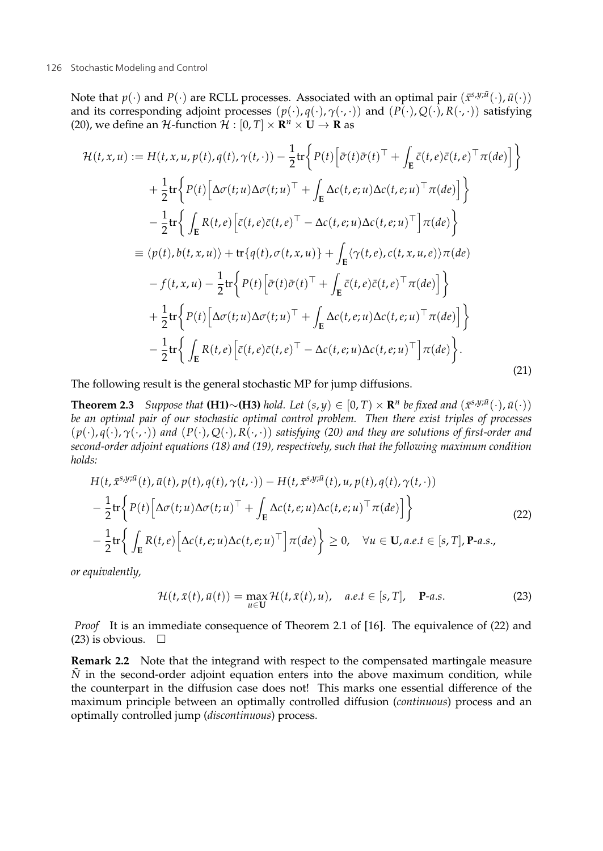Note that  $p(\cdot)$  and  $P(\cdot)$  are RCLL processes. Associated with an optimal pair  $(\bar{x}^{s,y;\bar{u}}(\cdot),\bar{u}(\cdot))$ and its corresponding adjoint processes  $(p(\cdot), q(\cdot), \gamma(\cdot, \cdot))$  and  $(\overrightarrow{P(\cdot)}, Q(\cdot), R(\cdot, \cdot))$  satisfying (20), we define an H-function  $\hat{\mathcal{H}}$  :  $[0, T] \times \mathbb{R}^n \times \mathbb{U} \rightarrow \mathbb{R}$  as

$$
\mathcal{H}(t, x, u) := H(t, x, u, p(t), q(t), \gamma(t, \cdot)) - \frac{1}{2} \text{tr} \Big\{ P(t) \Big[ \bar{\sigma}(t) \bar{\sigma}(t)^{\top} + \int_{E} \bar{c}(t, e) \bar{c}(t, e)^{\top} \pi(de) \Big] \Big\} \n+ \frac{1}{2} \text{tr} \Big\{ P(t) \Big[ \Delta \sigma(t; u) \Delta \sigma(t; u)^{\top} + \int_{E} \Delta c(t, e; u) \Delta c(t, e; u)^{\top} \pi(de) \Big] \Big\} \n- \frac{1}{2} \text{tr} \Big\{ \int_{E} R(t, e) \Big[ \bar{c}(t, e) \bar{c}(t, e)^{\top} - \Delta c(t, e; u) \Delta c(t, e; u)^{\top} \Big] \pi(de) \Big\} \n= \langle p(t), b(t, x, u) \rangle + \text{tr} \{ q(t), \sigma(t, x, u) \} + \int_{E} \langle \gamma(t, e), c(t, x, u, e) \rangle \pi(de) \n- f(t, x, u) - \frac{1}{2} \text{tr} \Big\{ P(t) \Big[ \bar{\sigma}(t) \bar{\sigma}(t)^{\top} + \int_{E} \bar{c}(t, e) \bar{c}(t, e)^{\top} \pi(de) \Big] \Big\} \n+ \frac{1}{2} \text{tr} \Big\{ P(t) \Big[ \Delta \sigma(t; u) \Delta \sigma(t; u)^{\top} + \int_{E} \Delta c(t, e; u) \Delta c(t, e; u)^{\top} \pi(de) \Big] \Big\} \n- \frac{1}{2} \text{tr} \Big\{ \int_{E} R(t, e) \Big[ \bar{c}(t, e) \bar{c}(t, e)^{\top} - \Delta c(t, e; u) \Delta c(t, e; u)^{\top} \Big] \pi(de) \Big\}.
$$
\n(21)

The following result is the general stochastic MP for jump diffusions.

**Theorem 2.3** *Suppose that* **(H1)**∼**(H3)** *hold. Let*  $(s, y) \in [0, T) \times \mathbb{R}^n$  *be fixed and*  $(x^{s,y;\bar{u}}(\cdot), \bar{u}(\cdot))$ *be an optimal pair of our stochastic optimal control problem. Then there exist triples of processes* (*p*(·), *q*(·), *γ*(·, ·)) *and* (*P*(·), *Q*(·), *R*(·, ·)) *satisfying (20) and they are solutions of first-order and second-order adjoint equations (18) and (19), respectively, such that the following maximum condition holds:*

$$
H(t, \bar{x}^{s,y;\bar{u}}(t), \bar{u}(t), p(t), q(t), \gamma(t, \cdot)) - H(t, \bar{x}^{s,y;\bar{u}}(t), u, p(t), q(t), \gamma(t, \cdot))
$$
  

$$
-\frac{1}{2} \text{tr} \left\{ P(t) \left[ \Delta \sigma(t; u) \Delta \sigma(t; u)^\top + \int_{\mathbf{E}} \Delta c(t, e; u) \Delta c(t, e; u)^\top \pi(de) \right] \right\}
$$
  

$$
-\frac{1}{2} \text{tr} \left\{ \int_{\mathbf{E}} R(t, e) \left[ \Delta c(t, e; u) \Delta c(t, e; u)^\top \right] \pi(de) \right\} \ge 0, \quad \forall u \in \mathbf{U}, a.e. t \in [s, T], \mathbf{P}\text{-}a.s.,
$$
 (22)

*or equivalently,*

$$
\mathcal{H}(t,\bar{x}(t),\bar{u}(t)) = \max_{u \in \mathbf{U}} \mathcal{H}(t,\bar{x}(t),u), \quad a.e.t \in [s,T], \quad \mathbf{P}\text{-}a.s.
$$
 (23)

*Proof* It is an immediate consequence of Theorem 2.1 of [16]. The equivalence of (22) and  $(23)$  is obvious.  $\Box$ 

**Remark 2.2** Note that the integrand with respect to the compensated martingale measure  $\tilde{N}$  in the second-order adjoint equation enters into the above maximum condition, while the counterpart in the diffusion case does not! This marks one essential difference of the maximum principle between an optimally controlled diffusion (*continuous*) process and an optimally controlled jump (*discontinuous*) process.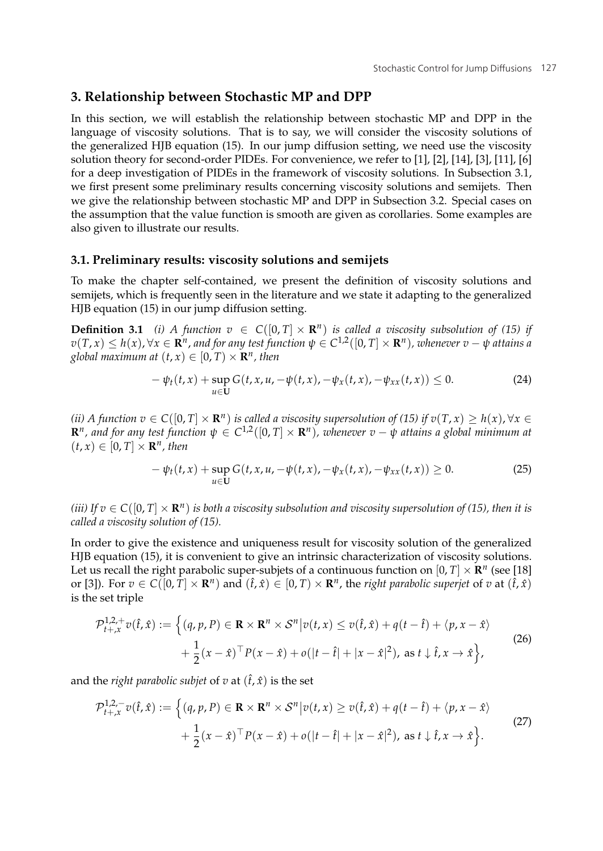## **3. Relationship between Stochastic MP and DPP**

In this section, we will establish the relationship between stochastic MP and DPP in the language of viscosity solutions. That is to say, we will consider the viscosity solutions of the generalized HJB equation (15). In our jump diffusion setting, we need use the viscosity solution theory for second-order PIDEs. For convenience, we refer to [1], [2], [14], [3], [11], [6] for a deep investigation of PIDEs in the framework of viscosity solutions. In Subsection 3.1, we first present some preliminary results concerning viscosity solutions and semijets. Then we give the relationship between stochastic MP and DPP in Subsection 3.2. Special cases on the assumption that the value function is smooth are given as corollaries. Some examples are also given to illustrate our results.

#### **3.1. Preliminary results: viscosity solutions and semijets**

To make the chapter self-contained, we present the definition of viscosity solutions and semijets, which is frequently seen in the literature and we state it adapting to the generalized HJB equation (15) in our jump diffusion setting.

**Definition 3.1** *(i)* A function  $v \in C([0, T] \times \mathbb{R}^n)$  is called a viscosity subsolution of (15) if  $v(T, x) \leq h(x), \forall x \in \mathbb{R}^n$ , and for any test function  $\psi \in C^{1,2}([0, T] \times \mathbb{R}^n)$ , whenever  $v - \psi$  attains a *global maximum at*  $(t, x) \in [0, T) \times \mathbb{R}^n$ , then

$$
-\psi_t(t,x) + \sup_{u \in U} G(t,x,u,-\psi(t,x),-\psi_x(t,x),-\psi_{xx}(t,x)) \le 0.
$$
 (24)

*(ii) A function*  $v \in C([0, T] \times \mathbb{R}^n)$  *is called a viscosity supersolution of (15) if*  $v(T, x) > h(x)$ *,*  $\forall x \in$  $\mathbb{R}^n$ , and for any test function  $\psi \in C^{1,2}([0,T] \times \mathbb{R}^n)$ , whenever  $v - \psi$  attains a global minimum at  $(t, x) \in [0, T] \times \mathbb{R}^n$ , then

$$
-\psi_t(t,x) + \sup_{u \in U} G(t,x,u,-\psi(t,x),-\psi_x(t,x),-\psi_{xx}(t,x)) \ge 0.
$$
 (25)

*(iii)* If  $v \in C([0, T] \times \mathbb{R}^n)$  *is both a viscosity subsolution and viscosity supersolution of (15), then it is called a viscosity solution of (15).*

In order to give the existence and uniqueness result for viscosity solution of the generalized HJB equation (15), it is convenient to give an intrinsic characterization of viscosity solutions. Let us recall the right parabolic super-subjets of a continuous function on  $[0, T] \times \mathbb{R}^n$  (see [18] or [3]). For  $v \in C([0, T] \times \mathbb{R}^n)$  and  $(\hat{t}, \hat{x}) \in [0, T] \times \mathbb{R}^n$ , the *right parabolic superiet* of *v* at  $(\hat{t}, \hat{x})$ is the set triple

$$
\mathcal{P}_{t+x}^{1,2,+}v(\hat{t},\hat{x}) := \left\{ (q,p,P) \in \mathbf{R} \times \mathbf{R}^n \times \mathcal{S}^n | v(t,x) \le v(\hat{t},\hat{x}) + q(t-\hat{t}) + \langle p,x-\hat{x} \rangle \right.\left. + \frac{1}{2}(x-\hat{x})^\top P(x-\hat{x}) + o(|t-\hat{t}|+|x-\hat{x}|^2), \text{ as } t \downarrow \hat{t}, x \to \hat{x} \right\},\tag{26}
$$

and the *right parabolic subjet* of *v* at  $(\hat{t}, \hat{x})$  is the set

$$
\mathcal{P}_{t+x}^{1,2,-}v(\hat{t},\hat{x}):=\begin{cases} (q,p,P)\in\mathbf{R}\times\mathbf{R}^n\times\mathcal{S}^n|v(t,x)\geq v(\hat{t},\hat{x})+q(t-\hat{t})+\langle p,x-\hat{x}\rangle\\ +\frac{1}{2}(x-\hat{x})^\top P(x-\hat{x})+o(|t-\hat{t}|+|x-\hat{x}|^2), \text{ as } t\downarrow\hat{t},x\to\hat{x}\end{cases}
$$
(27)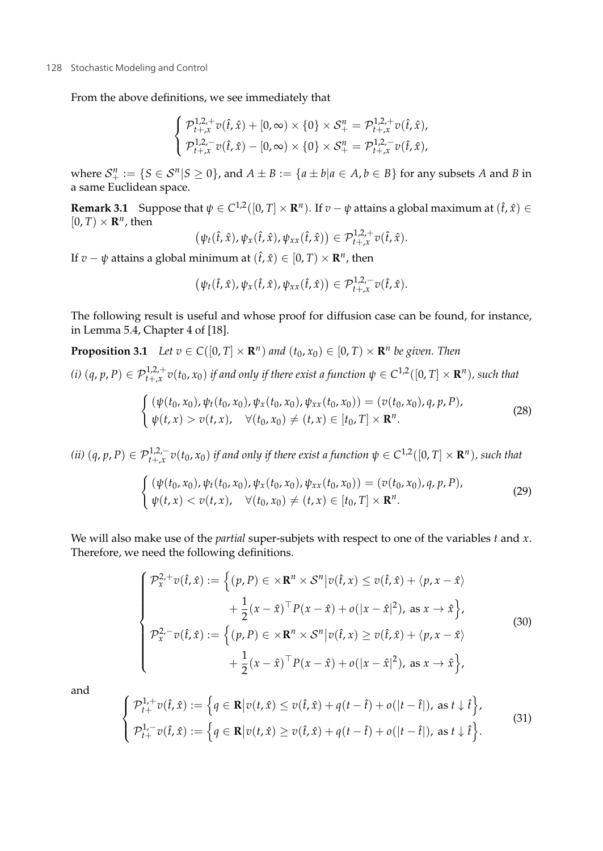From the above definitions, we see immediately that

$$
\begin{cases}\n\mathcal{P}_{t+x}^{1,2,+}v(\hat{t},\hat{x}) + [0,\infty) \times \{0\} \times \mathcal{S}_+^n = \mathcal{P}_{t+x}^{1,2,+}v(\hat{t},\hat{x}), \\
\mathcal{P}_{t+x}^{1,2,-}v(\hat{t},\hat{x}) - [0,\infty) \times \{0\} \times \mathcal{S}_+^n = \mathcal{P}_{t+x}^{1,2,-}v(\hat{t},\hat{x}),\n\end{cases}
$$

where  $S_{\perp}^n := \{ S \in S^n | S \ge 0 \}$ , and  $A \pm B := \{ a \pm b | a \in A, b \in B \}$  for any subsets *A* and *B* in a same Euclidean space.

**Remark 3.1** Suppose that  $\psi \in C^{1,2}([0,T] \times \mathbb{R}^n)$ . If  $v - \psi$  attains a global maximum at  $(\hat{t}, \hat{x}) \in$  $[0, T] \times \mathbb{R}^n$ , then

$$
(\psi_t(\hat{t},\hat{x}),\psi_x(\hat{t},\hat{x}),\psi_{xx}(\hat{t},\hat{x}))\in\mathcal{P}_{t+,\hat{x}}^{1,2,+}v(\hat{t},\hat{x}).
$$

If *v* − *ψ* attains a global minimum at  $(\hat{t}, \hat{x}) \in [0, T) \times \mathbb{R}^n$ , then

$$
(\psi_t(\hat{t},\hat{x}),\psi_x(\hat{t},\hat{x}),\psi_{xx}(\hat{t},\hat{x}))\in\mathcal{P}_{t+,\hat{x}}^{1,2,-}v(\hat{t},\hat{x}).
$$

The following result is useful and whose proof for diffusion case can be found, for instance, in Lemma 5.4, Chapter 4 of [18].

**Proposition 3.1** *Let*  $v \in C([0, T] \times \mathbb{R}^n)$  *and*  $(t_0, x_0) \in [0, T] \times \mathbb{R}^n$  *be given. Then* 

 $f(t)$   $(q, p, P) \in \mathcal{P}_{t+x}^{1,2,+}v(t_0, x_0)$  *if and only if there exist a function*  $\psi \in C^{1,2}([0,T] \times \mathbf{R}^n)$ *, such that* 

$$
\begin{cases} (\psi(t_0, x_0), \psi_t(t_0, x_0), \psi_x(t_0, x_0), \psi_{xx}(t_0, x_0)) = (v(t_0, x_0), q, p, P), \\ \psi(t, x) > v(t, x), \quad \forall (t_0, x_0) \neq (t, x) \in [t_0, T] \times \mathbf{R}^n. \end{cases}
$$
(28)

(ii) 
$$
(q, p, P) \in \mathcal{P}_{t+x}^{1,2,-} v(t_0, x_0)
$$
 if and only if there exist a function  $\psi \in C^{1,2}([0, T] \times \mathbb{R}^n)$ , such that

$$
\begin{cases} (\psi(t_0, x_0), \psi_t(t_0, x_0), \psi_x(t_0, x_0), \psi_{xx}(t_0, x_0)) = (v(t_0, x_0), q, p, P), \\ \psi(t, x) < v(t, x), \quad \forall (t_0, x_0) \neq (t, x) \in [t_0, T] \times \mathbf{R}^n. \end{cases} \tag{29}
$$

We will also make use of the *partial* super-subjets with respect to one of the variables *t* and *x*. Therefore, we need the following definitions.

$$
\begin{cases}\n\mathcal{P}_x^{2,+}v(\hat{t},\hat{x}) := \left\{ (p,P) \in \times \mathbf{R}^n \times \mathcal{S}^n | v(\hat{t},x) \le v(\hat{t},\hat{x}) + \langle p,x-\hat{x} \rangle \right. \\
\left. + \frac{1}{2}(x-\hat{x})^\top P(x-\hat{x}) + o(|x-\hat{x}|^2), \text{ as } x \to \hat{x} \right\}, \\
\mathcal{P}_x^{2,-}v(\hat{t},\hat{x}) := \left\{ (p,P) \in \times \mathbf{R}^n \times \mathcal{S}^n | v(\hat{t},x) \ge v(\hat{t},\hat{x}) + \langle p,x-\hat{x} \rangle \right. \\
\left. + \frac{1}{2}(x-\hat{x})^\top P(x-\hat{x}) + o(|x-\hat{x}|^2), \text{ as } x \to \hat{x} \right\},\n\end{cases} \tag{30}
$$

and

⎧  $\int$  $\overline{I}$ 

$$
\mathcal{P}_{t+}^{1,+}v(\hat{t},\hat{x}) := \left\{ q \in \mathbf{R} \big| v(t,\hat{x}) \le v(\hat{t},\hat{x}) + q(t-\hat{t}) + o(|t-\hat{t}|), \text{ as } t \downarrow \hat{t} \right\},
$$
\n
$$
\mathcal{P}_{t+}^{1,-}v(\hat{t},\hat{x}) := \left\{ q \in \mathbf{R} \big| v(t,\hat{x}) \ge v(\hat{t},\hat{x}) + q(t-\hat{t}) + o(|t-\hat{t}|), \text{ as } t \downarrow \hat{t} \right\}.
$$
\n(31)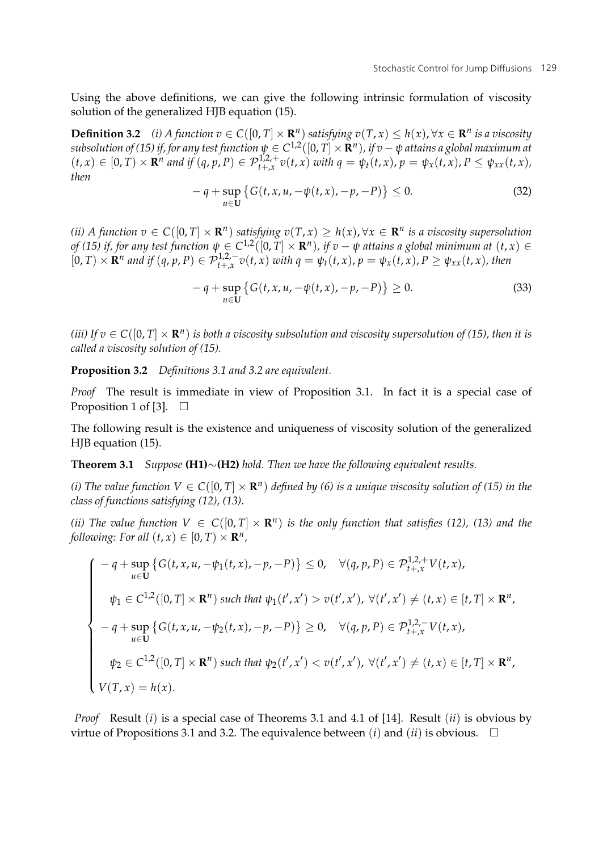Using the above definitions, we can give the following intrinsic formulation of viscosity solution of the generalized HJB equation (15).

**Definition 3.2** *(i) A* function  $v \in C([0, T] \times \mathbb{R}^n)$  satisfying  $v(T, x) \leq h(x)$ , ∀ $x \in \mathbb{R}^n$  is a viscosity *subsolution of (15) if, for any test function*  $\psi \in C^{1,2}([0,T] \times \mathbb{R}^n)$ *, if v* −  $\psi$  *attains a global maximum at*  $(t, x) \in [0, T) \times \mathbf{R}^n$  and if  $(q, p, P) \in \mathcal{P}_{t+x}^{1,2,+} v(t, x)$  with  $q = \psi_t(t, x), p = \psi_x(t, x), P \leq \psi_{xx}(t, x)$ , *then*

$$
- q + \sup_{u \in U} \{ G(t, x, u, -\psi(t, x), -p, -P) \} \le 0.
$$
 (32)

*(ii) A function*  $v \in C([0, T] \times \mathbb{R}^n)$  *satisfying*  $v(T, x) \geq h(x), \forall x \in \mathbb{R}^n$  *is a viscosity supersolution of* (15) if, for any test function  $\psi \in C^{1,2}([0,T] \times \mathbb{R}^n)$ , if  $v - \psi$  attains a global minimum at  $(t, x) \in$  $[0,T)\times \mathbf{R}^n$  and if  $(q,p,P)\in \mathcal{P}_{t+,\mathbf{x}}^{1,2,-}v(t,\mathbf{x})$  with  $q=\psi_t(t,\mathbf{x}), p=\psi_x(t,\mathbf{x}), P\geq \psi_{xx}(t,\mathbf{x})$ , then

$$
- q + \sup_{u \in U} \{ G(t, x, u, -\psi(t, x), -p, -P) \} \ge 0.
$$
 (33)

*(iii)* If  $v \in C([0, T] \times \mathbb{R}^n)$  *is both a viscosity subsolution and viscosity supersolution of (15), then it is called a viscosity solution of (15).*

**Proposition 3.2** *Definitions 3.1 and 3.2 are equivalent.*

*Proof* The result is immediate in view of Proposition 3.1. In fact it is a special case of Proposition 1 of [3].  $\Box$ 

The following result is the existence and uniqueness of viscosity solution of the generalized HJB equation (15).

**Theorem 3.1** *Suppose* **(H1)**∼**(H2)** *hold. Then we have the following equivalent results.*

*(i) The value function*  $V \in C([0, T] \times \mathbb{R}^n)$  *defined by (6) is a unique viscosity solution of (15) in the class of functions satisfying (12), (13).*

*(ii) The value function*  $V \in C([0, T] \times \mathbb{R}^n)$  *is the only function that satisfies (12), (13) and the following: For all*  $(t, x) \in [0, T] \times \mathbb{R}^n$ ,

$$
\begin{cases}\n-q + \sup_{u \in U} \left\{ G(t, x, u, -\psi_1(t, x), -p, -P) \right\} \le 0, & \forall (q, p, P) \in \mathcal{P}_{t+x}^{1,2,+} V(t, x), \\
\psi_1 \in C^{1,2}([0, T] \times \mathbf{R}^n) \text{ such that } \psi_1(t', x') > v(t', x'), \forall (t', x') \ne (t, x) \in [t, T] \times \mathbf{R}^n, \\
-q + \sup_{u \in U} \left\{ G(t, x, u, -\psi_2(t, x), -p, -P) \right\} \ge 0, & \forall (q, p, P) \in \mathcal{P}_{t+x}^{1,2,-} V(t, x), \\
\psi_2 \in C^{1,2}([0, T] \times \mathbf{R}^n) \text{ such that } \psi_2(t', x') < v(t', x'), \forall (t', x') \ne (t, x) \in [t, T] \times \mathbf{R}^n, \\
V(T, x) = h(x).\n\end{cases}
$$

*Proof* Result (*i*) is a special case of Theorems 3.1 and 4.1 of [14]. Result (*ii*) is obvious by virtue of Propositions 3.1 and 3.2. The equivalence between  $(i)$  and  $(ii)$  is obvious.  $\quad \Box$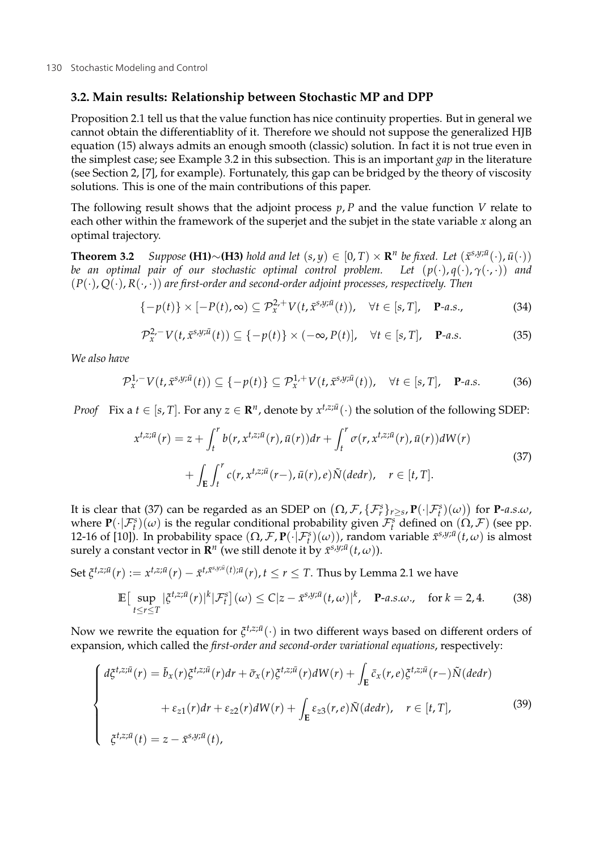#### **3.2. Main results: Relationship between Stochastic MP and DPP**

Proposition 2.1 tell us that the value function has nice continuity properties. But in general we cannot obtain the differentiablity of it. Therefore we should not suppose the generalized HJB equation (15) always admits an enough smooth (classic) solution. In fact it is not true even in the simplest case; see Example 3.2 in this subsection. This is an important *gap* in the literature (see Section 2, [7], for example). Fortunately, this gap can be bridged by the theory of viscosity solutions. This is one of the main contributions of this paper.

The following result shows that the adjoint process *p*, *P* and the value function *V* relate to each other within the framework of the superjet and the subjet in the state variable *x* along an optimal trajectory.

**Theorem 3.2** *Suppose* **(H1)**∼**(H3)** *hold and let*  $(s, y) \in [0, T) \times \mathbb{R}^n$  *be fixed. Let*  $(\bar{x}^{s,y;\bar{u}}(\cdot), \bar{u}(\cdot))$ *be an optimal pair of our stochastic optimal control problem. Let*  $(p(\cdot), q(\cdot), \gamma(\cdot, \cdot))$  *and* (*P*(·), *Q*(·), *R*(·, ·)) *are first-order and second-order adjoint processes, respectively. Then*

$$
\{-p(t)\}\times[-P(t),\infty)\subseteq\mathcal{P}_{x}^{2,+}V(t,\bar{x}^{s,y;\bar{u}}(t)),\quad\forall t\in[s,T],\quad\mathbf{P}\text{-}a.s.,\tag{34}
$$

$$
\mathcal{P}_x^{2,-} V(t, \bar{x}^{s,y;\bar{u}}(t)) \subseteq \{-p(t)\} \times (-\infty, P(t)], \quad \forall t \in [s, T], \quad \mathbf{P}\text{-}a.s.
$$
 (35)

*We also have*

$$
\mathcal{P}_x^{1,-} V(t,\bar{x}^{s,y;\bar{u}}(t)) \subseteq \{-p(t)\} \subseteq \mathcal{P}_x^{1,+} V(t,\bar{x}^{s,y;\bar{u}}(t)), \quad \forall t \in [s,T], \quad \mathbf{P}\text{-}a.s.
$$
 (36)

*Proof* Fix a *t* ∈ [*s*, *T*]. For any  $z \in \mathbb{R}^n$ , denote by  $x^{t,z;\bar{u}}(\cdot)$  the solution of the following SDEP:

$$
x^{t,z;\bar{u}}(r) = z + \int_t^r b(r, x^{t,z;\bar{u}}(r), \bar{u}(r))dr + \int_t^r \sigma(r, x^{t,z;\bar{u}}(r), \bar{u}(r))dW(r)
$$
  
+ 
$$
\int_E \int_t^r c(r, x^{t,z;\bar{u}}(r-), \bar{u}(r), e)\tilde{N}(dedr), \quad r \in [t, T].
$$
 (37)

It is clear that (37) can be regarded as an SDEP on  $(\Omega, \mathcal{F}, \{\mathcal{F}_r^s\}_{r\geq s}, \mathbf{P}(\cdot|\mathcal{F}_t^s)(\omega))$  for **P**-*a.s.w*, where  $\mathbf{P}(\cdot|\mathcal{F}_{t}^{s})(\omega)$  is the regular conditional probability given  $\mathcal{F}_{t}^{s}$  defined on  $(\Omega, \mathcal{F})$  (see pp. 12-16 of [10]). In probability space  $(\Omega, \mathcal{F}, \mathbf{P}(\cdot | \mathcal{F}_t^s)(\omega))$ , random variable  $\bar{x}^{s,y;\bar{u}}(t,\omega)$  is almost surely a constant vector in  $\mathbf{R}^n$  (we still denote it by  $\bar{x}^{s,y;\bar{u}}(t,\omega)$ ).

Set 
$$
\xi^{t,z;\bar{u}}(r) := x^{t,z;\bar{u}}(r) - \bar{x}^{t,\bar{x}^{s,y;\bar{u}}(t); \bar{u}}(r), t \leq r \leq T
$$
. Thus by Lemma 2.1 we have

$$
\mathbb{E}\big[\sup_{t\leq r\leq T}|\xi^{t,z;\bar{u}}(r)|^k|\mathcal{F}_t^s\big](\omega)\leq C|z-\bar{x}^{s,y;\bar{u}}(t,\omega)|^k,\quad \mathbf{P}\text{-}a.s.\omega,\quad \text{for }k=2,4. \tag{38}
$$

Now we rewrite the equation for  $\xi^{t,z;\bar{u}}(\cdot)$  in two different ways based on different orders of expansion, which called the *first-order and second-order variational equations*, respectively:

$$
\begin{cases}\nd\xi^{t,z;\bar{u}}(r) = \bar{b}_x(r)\xi^{t,z;\bar{u}}(r)dr + \bar{\sigma}_x(r)\xi^{t,z;\bar{u}}(r)dW(r) + \int_E \bar{c}_x(r,e)\xi^{t,z;\bar{u}}(r-) \tilde{N}(dedr) \\
\qquad + \varepsilon_{z1}(r)dr + \varepsilon_{z2}(r)dW(r) + \int_E \varepsilon_{z3}(r,e)\tilde{N}(dedr), \quad r \in [t, T], \\
\xi^{t,z;\bar{u}}(t) = z - \bar{x}^{s,y;\bar{u}}(t),\n\end{cases} \tag{39}
$$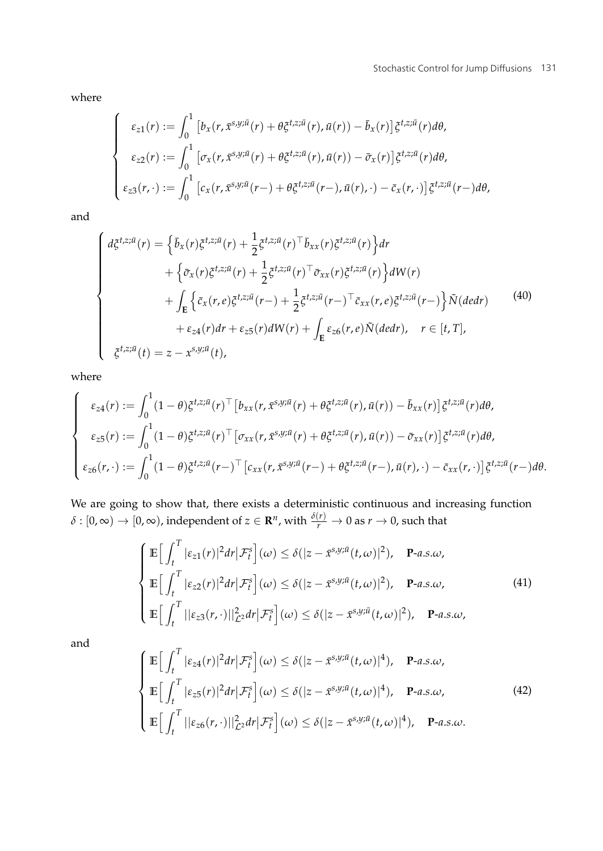where

$$
\begin{cases}\n\varepsilon_{z1}(r) := \int_0^1 \left[ b_x(r, \bar{x}^{s,y;\bar{u}}(r) + \theta \xi^{t,z;\bar{u}}(r), \bar{u}(r)) - \bar{b}_x(r) \right] \xi^{t,z;\bar{u}}(r) d\theta, \\
\varepsilon_{z2}(r) := \int_0^1 \left[ \sigma_x(r, \bar{x}^{s,y;\bar{u}}(r) + \theta \xi^{t,z;\bar{u}}(r), \bar{u}(r)) - \bar{\sigma}_x(r) \right] \xi^{t,z;\bar{u}}(r) d\theta, \\
\varepsilon_{z3}(r, \cdot) := \int_0^1 \left[ c_x(r, \bar{x}^{s,y;\bar{u}}(r-) + \theta \xi^{t,z;\bar{u}}(r-), \bar{u}(r), \cdot) - \bar{c}_x(r, \cdot) \right] \xi^{t,z;\bar{u}}(r-) d\theta,\n\end{cases}
$$

and

$$
\begin{cases}\nd\xi^{t,z;\bar{u}}(r) = \left\{\bar{b}_x(r)\xi^{t,z;\bar{u}}(r) + \frac{1}{2}\xi^{t,z;\bar{u}}(r)^{\top}\bar{b}_{xx}(r)\xi^{t,z;\bar{u}}(r)\right\}dr \\
+ \left\{\bar{\sigma}_x(r)\xi^{t,z;\bar{u}}(r) + \frac{1}{2}\xi^{t,z;\bar{u}}(r)^{\top}\bar{\sigma}_{xx}(r)\xi^{t,z;\bar{u}}(r)\right\}dW(r) \\
+ \int_{\mathbf{E}}\left\{\bar{c}_x(r,e)\xi^{t,z;\bar{u}}(r-) + \frac{1}{2}\xi^{t,z;\bar{u}}(r-)^{\top}\bar{c}_{xx}(r,e)\xi^{t,z;\bar{u}}(r-) \right\}\tilde{N}(dedr) \\
+ \varepsilon_{z4}(r)dr + \varepsilon_{z5}(r)dW(r) + \int_{\mathbf{E}}\varepsilon_{z6}(r,e)\tilde{N}(dedr), \quad r \in [t, T], \\
\xi^{t,z;\bar{u}}(t) = z - x^{s,y;\bar{u}}(t),\n\end{cases} \tag{40}
$$

where

$$
\begin{cases}\n\varepsilon_{z4}(r) := \int_0^1 (1-\theta) \xi^{t,z;\bar{u}}(r)^{\top} \left[ b_{xx}(r,\bar{x}^{s,y;\bar{u}}(r) + \theta \xi^{t,z;\bar{u}}(r),\bar{u}(r)) - \bar{b}_{xx}(r) \right] \xi^{t,z;\bar{u}}(r) d\theta, \\
\varepsilon_{z5}(r) := \int_0^1 (1-\theta) \xi^{t,z;\bar{u}}(r)^{\top} \left[ \sigma_{xx}(r,\bar{x}^{s,y;\bar{u}}(r) + \theta \xi^{t,z;\bar{u}}(r),\bar{u}(r)) - \bar{\sigma}_{xx}(r) \right] \xi^{t,z;\bar{u}}(r) d\theta, \\
\varepsilon_{z6}(r,\cdot) := \int_0^1 (1-\theta) \xi^{t,z;\bar{u}}(r-)^{\top} \left[ c_{xx}(r,\bar{x}^{s,y;\bar{u}}(r-) + \theta \xi^{t,z;\bar{u}}(r-),\bar{u}(r),\cdot) - \bar{c}_{xx}(r,\cdot) \right] \xi^{t,z;\bar{u}}(r-) d\theta.\n\end{cases}
$$

We are going to show that, there exists a deterministic continuous and increasing function  $\delta:[0,\infty)\to[0,\infty)$ , independent of  $z\in\mathbf{R}^n$ , with  $\frac{\delta(r)}{r}\to 0$  as  $r\to 0$ , such that

$$
\begin{cases}\n\mathbb{E}\Big[\int_{t}^{T}|\varepsilon_{z1}(r)|^{2}dr\big|\mathcal{F}_{t}^{s}\Big](\omega)\leq\delta(|z-\tilde{x}^{s,y;\tilde{u}}(t,\omega)|^{2}), \quad \mathbf{P}\text{-}a.s.\omega, \\
\mathbb{E}\Big[\int_{t}^{T}|\varepsilon_{z2}(r)|^{2}dr\big|\mathcal{F}_{t}^{s}\Big](\omega)\leq\delta(|z-\tilde{x}^{s,y;\tilde{u}}(t,\omega)|^{2}), \quad \mathbf{P}\text{-}a.s.\omega, \\
\mathbb{E}\Big[\int_{t}^{T}||\varepsilon_{z3}(r,\cdot)||_{\mathcal{L}^{2}}^{2}dr\big|\mathcal{F}_{t}^{s}\Big](\omega)\leq\delta(|z-\tilde{x}^{s,y;\tilde{u}}(t,\omega)|^{2}), \quad \mathbf{P}\text{-}a.s.\omega,\n\end{cases}
$$
\n(41)

and

$$
\begin{cases}\n\mathbb{E}\Big[\int_{t}^{T} |\varepsilon_{z4}(r)|^{2} dr \big|\mathcal{F}_{t}^{s}\Big](\omega) \leq \delta(|z-\bar{x}^{s,y;\bar{u}}(t,\omega)|^{4}), \quad \mathbf{P}\text{-}a.s.\omega, \\
\mathbb{E}\Big[\int_{t}^{T} |\varepsilon_{z5}(r)|^{2} dr \big|\mathcal{F}_{t}^{s}\Big](\omega) \leq \delta(|z-\bar{x}^{s,y;\bar{u}}(t,\omega)|^{4}), \quad \mathbf{P}\text{-}a.s.\omega, \\
\mathbb{E}\Big[\int_{t}^{T} ||\varepsilon_{z6}(r,\cdot)||_{\mathcal{L}^{2}}^{2} dr \big|\mathcal{F}_{t}^{s}\Big](\omega) \leq \delta(|z-\bar{x}^{s,y;\bar{u}}(t,\omega)|^{4}), \quad \mathbf{P}\text{-}a.s.\omega.\n\end{cases} (42)
$$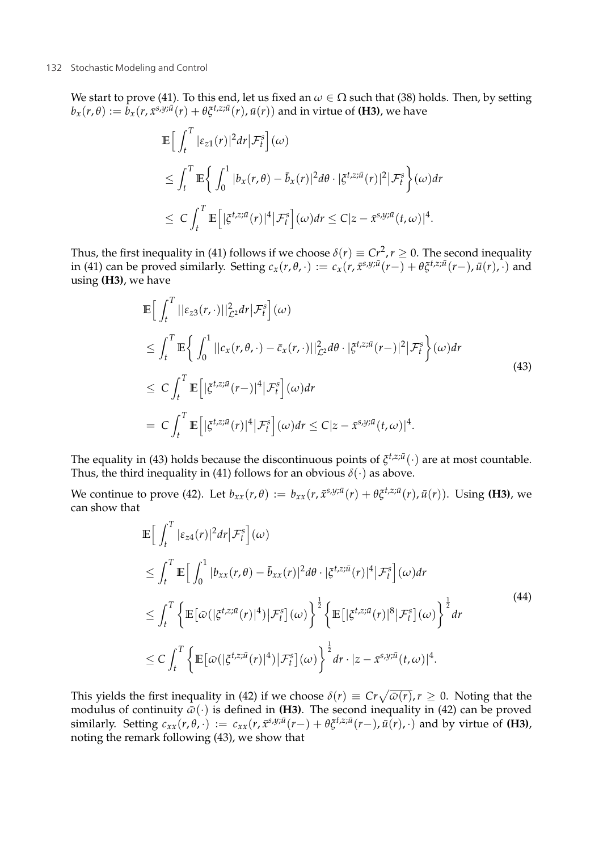We start to prove (41). To this end, let us fixed an *ω* ∈ Ω such that (38) holds. Then, by setting  $b_x(r,\theta) := \bar{b}_x(r, \bar{x}^{s,y;\bar{u}}(r) + \theta \xi^{t,z;\bar{u}}(r)$ ,  $\bar{u}(r)$ ) and in virtue of **(H3)**, we have

$$
\mathbb{E}\Big[\int_t^T |\varepsilon_{z1}(r)|^2 dr \Big|\mathcal{F}_t^s\Big](\omega)
$$
  
\n
$$
\leq \int_t^T \mathbb{E}\Big\{\int_0^1 |b_x(r,\theta) - \bar{b}_x(r)|^2 d\theta \cdot |\xi^{t,z;\bar{u}}(r)|^2 |\mathcal{F}_t^s\Big\}(\omega) dr
$$
  
\n
$$
\leq C \int_t^T \mathbb{E}\Big[|\xi^{t,z;\bar{u}}(r)|^4 |\mathcal{F}_t^s\Big](\omega) dr \leq C|z - \bar{x}^{s,y;\bar{u}}(t,\omega)|^4.
$$

Thus, the first inequality in (41) follows if we choose  $\delta(r) \equiv Cr^2, r \ge 0$ . The second inequality in (41) can be proved similarly. Setting  $c_x(r, \theta, \cdot) := c_x(r, \bar{x}^{s, y; \bar{u}}(r-) + \theta \xi^{t, z; \bar{u}}(r-), \bar{u}(r), \cdot)$  and using **(H3)**, we have

$$
\mathbb{E}\Big[\int_{t}^{T}||\varepsilon_{z3}(r,\cdot)||_{\mathcal{L}^{2}}^{2}dr|\mathcal{F}_{t}^{s}\Big](\omega)
$$
\n
$$
\leq \int_{t}^{T}\mathbb{E}\Big\{\int_{0}^{1}||c_{x}(r,\theta,\cdot)-\bar{c}_{x}(r,\cdot)||_{\mathcal{L}^{2}}^{2}d\theta\cdot|\xi^{t,z;\bar{u}}(r-)|^{2}|\mathcal{F}_{t}^{s}\Big\}(\omega)dr
$$
\n
$$
\leq C\int_{t}^{T}\mathbb{E}\Big[|\xi^{t,z;\bar{u}}(r-)|^{4}|\mathcal{F}_{t}^{s}\Big](\omega)dr
$$
\n
$$
= C\int_{t}^{T}\mathbb{E}\Big[|\xi^{t,z;\bar{u}}(r)|^{4}|\mathcal{F}_{t}^{s}\Big](\omega)dr \leq C|z-\bar{x}^{s,y;\bar{u}}(t,\omega)|^{4}.
$$
\n(43)

The equality in (43) holds because the discontinuous points of  $\xi^{t,z;\bar{u}}(\cdot)$  are at most countable. Thus, the third inequality in (41) follows for an obvious  $\delta(\cdot)$  as above.

We continue to prove (42). Let  $b_{xx}(r,\theta) := b_{xx}(r,\bar{x}^{s,y;\bar{u}}(r) + \theta \xi^{t,z;\bar{u}}(r),\bar{u}(r))$ . Using (**H3)**, we can show that

$$
\mathbb{E}\Big[\int_{t}^{T}|\varepsilon_{z4}(r)|^{2}dr|\mathcal{F}_{t}^{s}\Big](\omega)
$$
\n
$$
\leq \int_{t}^{T}\mathbb{E}\Big[\int_{0}^{1}|b_{xx}(r,\theta)-\bar{b}_{xx}(r)|^{2}d\theta\cdot|\xi^{t,z;\bar{u}}(r)|^{4}|\mathcal{F}_{t}^{s}\Big](\omega)dr
$$
\n
$$
\leq \int_{t}^{T}\Big\{\mathbb{E}\big[\bar{\omega}(|\xi^{t,z;\bar{u}}(r)|^{4})|\mathcal{F}_{t}^{s}\big](\omega)\Big\}^{\frac{1}{2}}\Big\{\mathbb{E}\big[|\xi^{t,z;\bar{u}}(r)|^{8}|\mathcal{F}_{t}^{s}\big](\omega)\Big\}^{\frac{1}{2}}dr
$$
\n
$$
\leq C\int_{t}^{T}\Big\{\mathbb{E}\big[\bar{\omega}(|\xi^{t,z;\bar{u}}(r)|^{4})|\mathcal{F}_{t}^{s}\big](\omega)\Big\}^{\frac{1}{2}}dr\cdot|z-\bar{x}^{s,y;\bar{u}}(t,\omega)|^{4}.
$$
\n
$$
(44)
$$

This yields the first inequality in (42) if we choose  $\delta(r) \equiv Cr\sqrt{\bar{\omega}(r)}$ ,  $r \ge 0$ . Noting that the modulus of continuity  $\bar{\omega}(\cdot)$  is defined in **(H3)**. The second inequality in (42) can be proved similarly. Setting  $c_{xx}(r, \theta, \cdot) := c_{xx}(r, \bar{x}^{s,y;\bar{u}}(r-)+\theta \xi^{t,z;\bar{u}}(r-), \bar{u}(r), \cdot)$  and by virtue of (**H3**), noting the remark following (43), we show that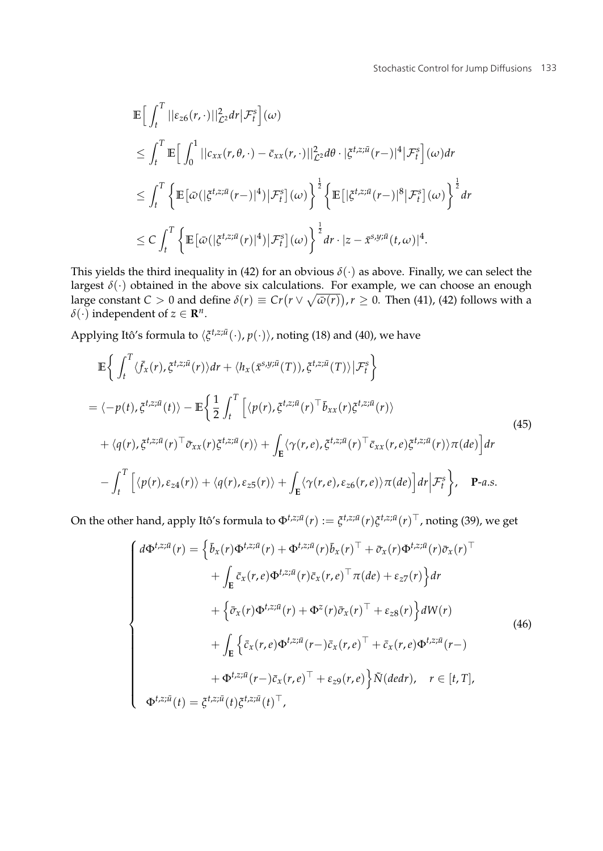$$
\mathbb{E}\Big[\int_t^T ||\varepsilon_{z6}(r,\cdot)||^2_{\mathcal{L}^2} dr | \mathcal{F}_t^s \Big](\omega)
$$
\n
$$
\leq \int_t^T \mathbb{E}\Big[\int_0^1 ||c_{xx}(r,\theta,\cdot)-\bar{c}_{xx}(r,\cdot)||^2_{\mathcal{L}^2} d\theta \cdot |\xi^{t,z;\bar{u}}(r-)|^4 | \mathcal{F}_t^s \Big](\omega) dr
$$
\n
$$
\leq \int_t^T \left\{ \mathbb{E}\big[\bar{\omega}\big(|\xi^{t,z;\bar{u}}(r-)|^4\big) | \mathcal{F}_t^s \big](\omega) \right\}^{\frac{1}{2}} \left\{ \mathbb{E}\big[|\xi^{t,z;\bar{u}}(r-)|^8 | \mathcal{F}_t^s \big](\omega) \right\}^{\frac{1}{2}} dr
$$
\n
$$
\leq C \int_t^T \left\{ \mathbb{E}\big[\bar{\omega}\big(|\xi^{t,z;\bar{u}}(r)|^4\big) | \mathcal{F}_t^s \big](\omega) \right\}^{\frac{1}{2}} dr \cdot |z-\bar{x}^{s,y;\bar{u}}(t,\omega)|^4.
$$

This yields the third inequality in (42) for an obvious *δ*(·) as above. Finally, we can select the largest  $\delta(\cdot)$  obtained in the above six calculations. For example, we can choose an enough large constant  $C > 0$  and define  $\delta(r) \equiv Cr(r \vee \sqrt{\omega(r)})$ ,  $r \ge 0$ . Then (41), (42) follows with a  $\delta(\cdot)$  independent of  $z \in \mathbb{R}^n$ .

Applying Itô's formula to  $\langle \zeta^{t,z;\bar{u}}(\cdot),p(\cdot)\rangle$ , noting (18) and (40), we have

$$
\mathbb{E}\left\{\int_{t}^{T}\langle\bar{f}_{x}(r),\bar{g}^{t,z;\bar{u}}(r)\rangle dr + \langle h_{x}(\bar{x}^{s,y;\bar{u}}(T)),\bar{g}^{t,z;\bar{u}}(T)\rangle|\mathcal{F}_{t}^{s}\right\} = \langle-p(t),\bar{g}^{t,z;\bar{u}}(t)\rangle - \mathbb{E}\left\{\frac{1}{2}\int_{t}^{T}\left[\langle p(r),\bar{g}^{t,z;\bar{u}}(r)^{\top}\bar{b}_{xx}(r)\bar{g}^{t,z;\bar{u}}(r)\rangle\right.+\langle q(r),\bar{g}^{t,z;\bar{u}}(r)^{\top}\bar{\sigma}_{xx}(r)\bar{g}^{t,z;\bar{u}}(r)\rangle + \int_{\mathbb{E}}\langle\gamma(r,e),\bar{g}^{t,z;\bar{u}}(r)^{\top}\bar{c}_{xx}(r,e)\bar{g}^{t,z;\bar{u}}(r)\rangle\pi(de)\right]dr - \int_{t}^{T}\left[\langle p(r),\epsilon_{z4}(r)\rangle + \langle q(r),\epsilon_{z5}(r)\rangle + \int_{\mathbb{E}}\langle\gamma(r,e),\epsilon_{z6}(r,e)\rangle\pi(de)\right]dr\Big|\mathcal{F}_{t}^{s}\right\}, \quad \mathbf{P}\text{-}a.s.
$$
\n(45)

On the other hand, apply Itô's formula to  $\Phi^{t,z;\bar u}(r):=\xi^{t,z;\bar u}(r)\xi^{t,z;\bar u}(r)^\top$ , noting (39), we get

$$
\begin{cases}\nd\Phi^{t,z;\bar{u}}(r) = \left\{\bar{b}_{x}(r)\Phi^{t,z;\bar{u}}(r) + \Phi^{t,z;\bar{u}}(r)\bar{b}_{x}(r)^{\top} + \bar{\sigma}_{x}(r)\Phi^{t,z;\bar{u}}(r)\bar{\sigma}_{x}(r)^{\top} \right. \\
\left. + \int_{\mathbf{E}} \bar{c}_{x}(r,e)\Phi^{t,z;\bar{u}}(r)\bar{c}_{x}(r,e)^{\top}\pi(de) + \varepsilon_{z}(\tau)\right\} dr \\
+ \left\{\bar{\sigma}_{x}(r)\Phi^{t,z;\bar{u}}(r) + \Phi^{z}(r)\bar{\sigma}_{x}(r)^{\top} + \varepsilon_{z}(\tau)\right\} dW(r) \\
+ \int_{\mathbf{E}} \left\{\bar{c}_{x}(r,e)\Phi^{t,z;\bar{u}}(r -)\bar{c}_{x}(r,e)^{\top} + \bar{c}_{x}(r,e)\Phi^{t,z;\bar{u}}(r -)\right. \\
\left. + \Phi^{t,z;\bar{u}}(r -)\bar{c}_{x}(r,e)^{\top} + \varepsilon_{z}(\tau,e)\right\} \tilde{N}(dedr), \quad r \in [t, T], \\
\Phi^{t,z;\bar{u}}(t) = \xi^{t,z;\bar{u}}(t)\xi^{t,z;\bar{u}}(t)^{\top},\n\end{cases} \tag{46}
$$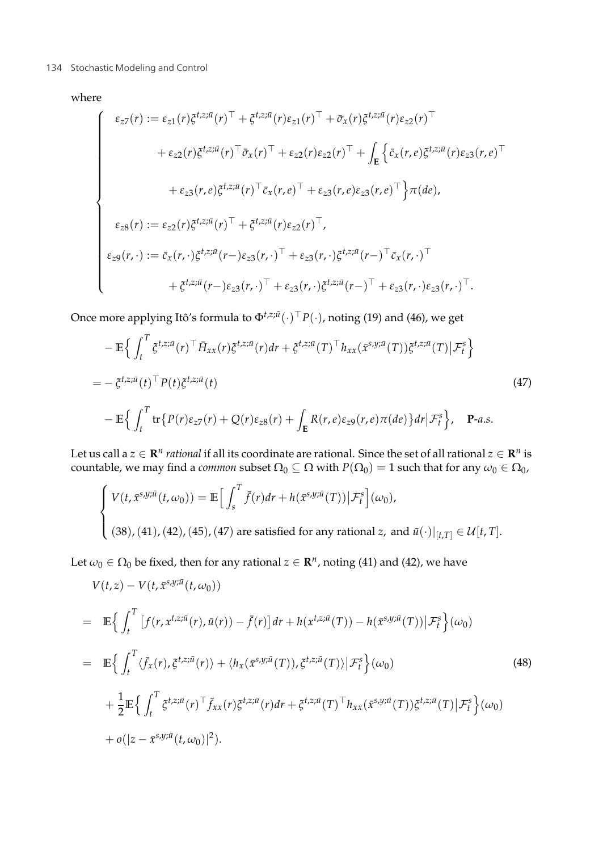#### 134 Stochastic Modeling and Control and The Stockholm and Stockholm and Stockholm and Stockholm and Stockholm and Stockholm and Stockholm and Stockholm and Stockholm and Stockholm and Stockholm and Stockholm and Stockholm

where

$$
\begin{cases}\n\varepsilon_{z7}(r) := \varepsilon_{z1}(r)\xi^{t,z;\bar{u}}(r)^{\top} + \xi^{t,z;\bar{u}}(r)\varepsilon_{z1}(r)^{\top} + \bar{\sigma}_x(r)\xi^{t,z;\bar{u}}(r)\varepsilon_{z2}(r)^{\top} \\
+ \varepsilon_{z2}(r)\xi^{t,z;\bar{u}}(r)^{\top}\bar{\sigma}_x(r)^{\top} + \varepsilon_{z2}(r)\varepsilon_{z2}(r)^{\top} + \int_{\mathbf{E}} \left\{ \bar{c}_x(r,e)\xi^{t,z;\bar{u}}(r)\varepsilon_{z3}(r,e)^{\top} \\
+ \varepsilon_{z3}(r,e)\xi^{t,z;\bar{u}}(r)^{\top}\bar{c}_x(r,e)^{\top} + \varepsilon_{z3}(r,e)\varepsilon_{z3}(r,e)^{\top} \right\} \pi(de), \\
\varepsilon_{z8}(r) := \varepsilon_{z2}(r)\xi^{t,z;\bar{u}}(r)^{\top} + \xi^{t,z;\bar{u}}(r)\varepsilon_{z2}(r)^{\top}, \\
\varepsilon_{z9}(r,\cdot) := \bar{c}_x(r,\cdot)\xi^{t,z;\bar{u}}(r-\varepsilon_{z3}(r,\cdot)^{\top} + \varepsilon_{z3}(r,\cdot)\xi^{t,z;\bar{u}}(r-\cdot)^{\top}\bar{c}_x(r,\cdot)^{\top} \\
+ \xi^{t,z;\bar{u}}(r-\varepsilon_{z3}(r,\cdot)^{\top} + \varepsilon_{z3}(r,\cdot)\xi^{t,z;\bar{u}}(r-\cdot)^{\top} + \varepsilon_{z3}(r,\cdot)\varepsilon_{z3}(r,\cdot)^{\top}.\n\end{cases}
$$

Once more applying Itô's formula to  $\Phi^{t,z;\bar{u}}(\cdot)^\top P(\cdot)$ , noting (19) and (46), we get

$$
-\mathbb{E}\Big\{\int_{t}^{T} \zeta^{t,z;\bar{u}}(r)^{\top} \hat{H}_{xx}(r) \zeta^{t,z;\bar{u}}(r) dr + \zeta^{t,z;\bar{u}}(T)^{\top} h_{xx}(\bar{x}^{s,y;\bar{u}}(T)) \zeta^{t,z;\bar{u}}(T) |\mathcal{F}_{t}^{s}\Big\}
$$
  

$$
= -\zeta^{t,z;\bar{u}}(t)^{\top} P(t) \zeta^{t,z;\bar{u}}(t)
$$
  

$$
-\mathbb{E}\Big\{\int_{t}^{T} \text{tr}\Big\{P(r)\varepsilon_{z}(r) + Q(r)\varepsilon_{z}(r) + \int_{E} R(r,e)\varepsilon_{z}(r,e)\pi(de)\Big\} dr |\mathcal{F}_{t}^{s}\Big\}, \quad \mathbf{P}\text{-}a.s.
$$
 (47)

Let us call a  $z \in \mathbb{R}^n$  *rational* if all its coordinate are rational. Since the set of all rational  $z \in \mathbb{R}^n$  is countable, we may find a *common* subset  $\Omega_0 \subseteq \Omega$  with  $P(\Omega_0) = 1$  such that for any  $\omega_0 \in \Omega_0$ ,

$$
\begin{cases}\nV(t, \bar{x}^{s,y;\bar{u}}(t,\omega_0)) = \mathbb{E}\Big[\int_s^T \bar{f}(r)dr + h(\bar{x}^{s,y;\bar{u}}(T))\big|\mathcal{F}_t^s\Big](\omega_0), \\
(38), (41), (42), (45), (47) \text{ are satisfied for any rational } z, \text{ and } \bar{u}(\cdot)\big|_{[t,T]} \in \mathcal{U}[t,T].\n\end{cases}
$$

Let  $\omega_0 \in \Omega_0$  be fixed, then for any rational  $z \in \mathbb{R}^n$ , noting (41) and (42), we have

$$
V(t,z) - V(t, \tilde{x}^{s,y;\tilde{u}}(t,\omega_0))
$$
  
\n
$$
= \mathbb{E}\Big\{\int_t^T \big[f(r, x^{t,z;\tilde{u}}(r), \bar{u}(r)) - \bar{f}(r)\big]dr + h(x^{t,z;\tilde{u}}(T)) - h(\tilde{x}^{s,y;\tilde{u}}(T))\big|\mathcal{F}_t^s\Big\}(\omega_0)
$$
  
\n
$$
= \mathbb{E}\Big\{\int_t^T \langle\bar{f}_x(r), \tilde{\xi}^{t,z;\tilde{u}}(r)\rangle + \langle h_x(\tilde{x}^{s,y;\tilde{u}}(T)), \tilde{\xi}^{t,z;\tilde{u}}(T)\rangle\big|\mathcal{F}_t^s\Big\}(\omega_0)
$$
  
\n
$$
+ \frac{1}{2}\mathbb{E}\Big\{\int_t^T \tilde{\xi}^{t,z;\tilde{u}}(r)^\top \bar{f}_{xx}(r)\tilde{\xi}^{t,z;\tilde{u}}(r)dr + \tilde{\xi}^{t,z;\tilde{u}}(T)^\top h_{xx}(\tilde{x}^{s,y;\tilde{u}}(T))\tilde{\xi}^{t,z;\tilde{u}}(T)\big|\mathcal{F}_t^s\Big\}(\omega_0)
$$
  
\n
$$
+ o(|z - \tilde{x}^{s,y;\tilde{u}}(t,\omega_0)|^2).
$$
 (48)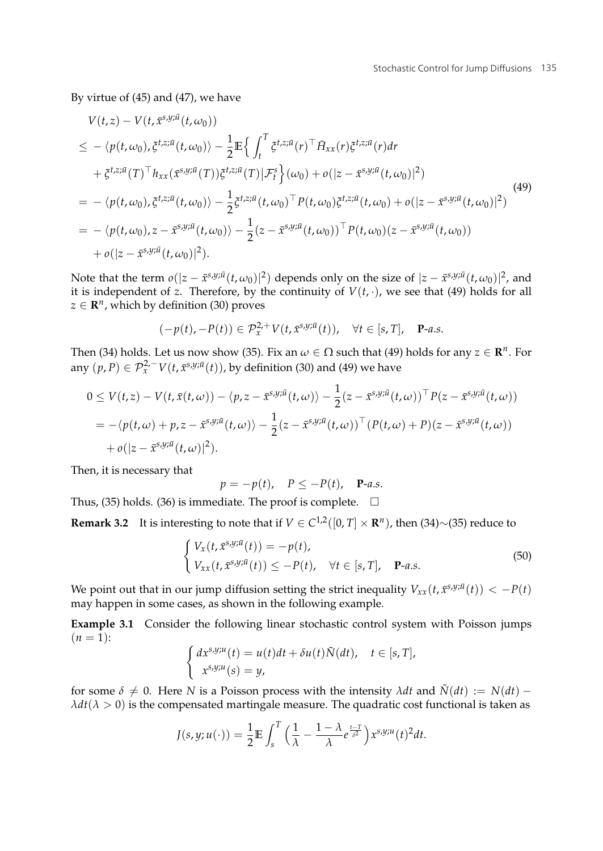By virtue of (45) and (47), we have

$$
V(t,z) - V(t, \bar{x}^{s,y;\bar{u}}(t,\omega_{0}))
$$
  
\n
$$
\leq -\langle p(t,\omega_{0}), \bar{\xi}^{t,z;\bar{u}}(t,\omega_{0}) \rangle - \frac{1}{2} \mathbb{E} \Big\{ \int_{t}^{T} \bar{\xi}^{t,z;\bar{u}}(r)^{\top} \bar{H}_{xx}(r) \bar{\xi}^{t,z;\bar{u}}(r) dr
$$
  
\n
$$
+ \bar{\xi}^{t,z;\bar{u}}(T)^{\top} h_{xx}(\bar{x}^{s,y;\bar{u}}(T)) \bar{\xi}^{t,z;\bar{u}}(T) | \mathcal{F}_{t}^{s} \Big\}(\omega_{0}) + o(|z - \bar{x}^{s,y;\bar{u}}(t,\omega_{0})|^{2})
$$
  
\n
$$
= -\langle p(t,\omega_{0}), \bar{\xi}^{t,z;\bar{u}}(t,\omega_{0}) \rangle - \frac{1}{2} \bar{\xi}^{t,z;\bar{u}}(t,\omega_{0})^{\top} P(t,\omega_{0}) \bar{\xi}^{t,z;\bar{u}}(t,\omega_{0}) + o(|z - \bar{x}^{s,y;\bar{u}}(t,\omega_{0})|^{2})
$$
  
\n
$$
= -\langle p(t,\omega_{0}), z - \bar{x}^{s,y;\bar{u}}(t,\omega_{0}) \rangle - \frac{1}{2} (z - \bar{x}^{s,y;\bar{u}}(t,\omega_{0}))^{\top} P(t,\omega_{0}) (z - \bar{x}^{s,y;\bar{u}}(t,\omega_{0}))
$$
  
\n
$$
+ o(|z - \bar{x}^{s,y;\bar{u}}(t,\omega_{0})|^{2}).
$$
\n(49)

Note that the term  $o(|z - \bar{x}^{s,y;\bar{u}}(t,\omega_0)|^2)$  depends only on the size of  $|z - \bar{x}^{s,y;\bar{u}}(t,\omega_0)|^2$ , and it is independent of *z*. Therefore, by the continuity of  $V(t, \cdot)$ , we see that (49) holds for all  $z \in \mathbb{R}^n$ , which by definition (30) proves

$$
(-p(t), -P(t)) \in \mathcal{P}_x^{2,+} V(t, \bar{x}^{s,y;\bar{u}}(t)), \quad \forall t \in [s, T], \quad \mathbf{P}\text{-}a.s.
$$

Then (34) holds. Let us now show (35). Fix an  $\omega \in \Omega$  such that (49) holds for any  $z \in \mathbb{R}^n$ . For any  $(p, P) \in \mathcal{P}_x^{2, -} V(t, \bar{x}^{s, y; \bar{u}}(t))$ , by definition (30) and (49) we have

$$
0 \leq V(t,z) - V(t,\bar{x}(t,\omega)) - \langle p,z - \bar{x}^{s,y;\bar{u}}(t,\omega) \rangle - \frac{1}{2}(z - \bar{x}^{s,y;\bar{u}}(t,\omega))^{\top} P(z - \bar{x}^{s,y;\bar{u}}(t,\omega))
$$
  
=  $-\langle p(t,\omega) + p,z - \bar{x}^{s,y;\bar{u}}(t,\omega) \rangle - \frac{1}{2}(z - \bar{x}^{s,y;\bar{u}}(t,\omega))^{\top} (P(t,\omega) + P)(z - \bar{x}^{s,y;\bar{u}}(t,\omega))$   
+  $o(|z - \bar{x}^{s,y;\bar{u}}(t,\omega)|^2).$ 

Then, it is necessary that

$$
p = -p(t), \quad P \le -P(t), \quad \mathbf{P}\text{-}a.s.
$$

Thus, (35) holds. (36) is immediate. The proof is complete.  $\quad \Box$ 

**Remark 3.2** It is interesting to note that if  $V \in C^{1,2}([0, T] \times \mathbb{R}^n)$ , then (34)∼(35) reduce to

$$
\begin{cases}\nV_x(t, \bar{x}^{s,y;\bar{u}}(t)) = -p(t), \\
V_{xx}(t, \bar{x}^{s,y;\bar{u}}(t)) \le -P(t), \quad \forall t \in [s, T], \quad \mathbf{P}\text{-}a.s.\n\end{cases}
$$
\n(50)

We point out that in our jump diffusion setting the strict inequality  $V_{xx}(t, \bar{x}^{s,y;\bar{u}}(t)) < -P(t)$ may happen in some cases, as shown in the following example.

**Example 3.1** Consider the following linear stochastic control system with Poisson jumps  $(n = 1)$ :

$$
\begin{cases} dx^{s,y;u}(t) = u(t)dt + \delta u(t)\tilde{N}(dt), \quad t \in [s,T],\\ x^{s,y;u}(s) = y, \end{cases}
$$

for some  $\delta \neq 0$ . Here *N* is a Poisson process with the intensity *λdt* and  $\tilde{N}(dt) := N(dt)$  –  $\lambda dt$ ( $\lambda > 0$ ) is the compensated martingale measure. The quadratic cost functional is taken as

$$
J(s,y;u(\cdot))=\frac{1}{2}\mathbb{E}\int_s^T\Big(\frac{1}{\lambda}-\frac{1-\lambda}{\lambda}e^{\frac{t-T}{\delta^2}}\Big)x^{s,y;u}(t)^2dt.
$$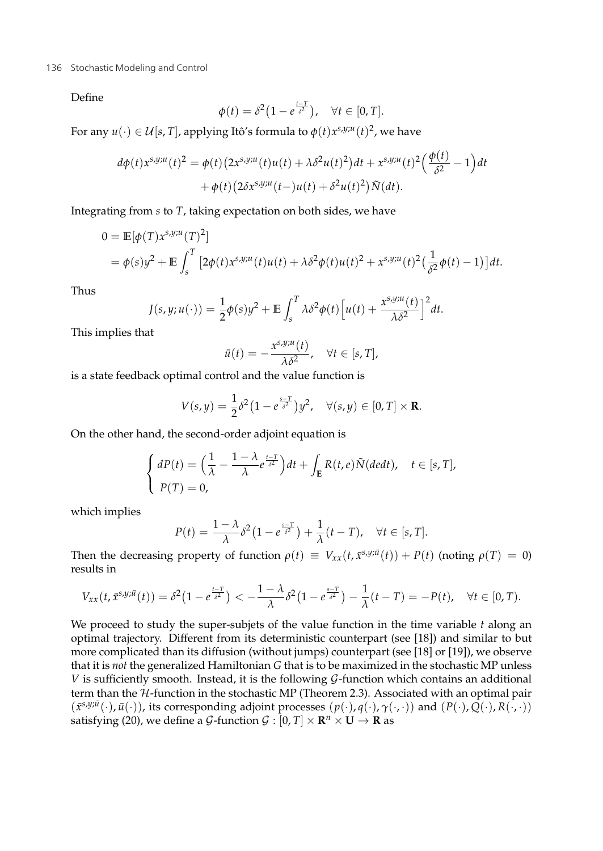#### 136 Stochastic Modeling and Control and The Stock of the Stockholm state of the Stockholm state of the Stockholm state of the Stockholm state of the Stockholm state of the Stockholm state of the Stockholm state of the Stoc

Define

$$
\phi(t) = \delta^2 \big( 1 - e^{\frac{t-T}{\delta^2}} \big), \quad \forall t \in [0, T].
$$

For any  $u(\cdot) \in \mathcal{U}[s,T]$ , applying Itô's formula to  $\phi(t) x^{s,y;u}(t)^2$ , we have

$$
d\phi(t)x^{s,y;u}(t)^2 = \phi(t)\left(2x^{s,y;u}(t)u(t) + \lambda\delta^2u(t)^2\right)dt + x^{s,y;u}(t)^2\left(\frac{\phi(t)}{\delta^2} - 1\right)dt
$$

$$
+ \phi(t)\left(2\delta x^{s,y;u}(t-)u(t) + \delta^2u(t)^2\right)\tilde{N}(dt).
$$

Integrating from *s* to *T*, taking expectation on both sides, we have

$$
0 = \mathbb{E}[\phi(T)x^{s,y;u}(T)^{2}]
$$
  
=  $\phi(s)y^{2} + \mathbb{E}\int_{s}^{T} [2\phi(t)x^{s,y;u}(t)u(t) + \lambda \delta^{2}\phi(t)u(t)^{2} + x^{s,y;u}(t)^{2}(\frac{1}{\delta^{2}}\phi(t) - 1)]dt.$ 

Thus

$$
J(s,y;u(\cdot)) = \frac{1}{2}\phi(s)y^2 + \mathbb{E}\int_s^T \lambda \delta^2 \phi(t) \Big[u(t) + \frac{x^{s,y;u}(t)}{\lambda \delta^2}\Big]^2 dt.
$$

This implies that

$$
\bar{u}(t) = -\frac{x^{s,y;u}(t)}{\lambda \delta^2}, \quad \forall t \in [s,T],
$$

is a state feedback optimal control and the value function is

$$
V(s,y) = \frac{1}{2}\delta^2 (1 - e^{\frac{s-T}{\delta^2}}) y^2, \quad \forall (s,y) \in [0,T] \times \mathbf{R}.
$$

On the other hand, the second-order adjoint equation is

$$
\begin{cases}\n dP(t) = \left(\frac{1}{\lambda} - \frac{1-\lambda}{\lambda}e^{\frac{t-T}{\delta^2}}\right)dt + \int_{\mathbf{E}} R(t,e)\tilde{N}(dedt), \quad t \in [s,T], \\
 P(T) = 0,\n\end{cases}
$$

which implies

$$
P(t) = \frac{1 - \lambda}{\lambda} \delta^2 \left(1 - e^{\frac{s - T}{\delta^2}}\right) + \frac{1}{\lambda} (t - T), \quad \forall t \in [s, T].
$$

Then the decreasing property of function  $\rho(t) \equiv V_{xx}(t, \bar{x}^{s,y;\bar{u}}(t)) + P(t)$  (noting  $\rho(T) = 0$ ) results in

$$
V_{xx}(t,\bar{x}^{s,y;\bar{u}}(t))=\delta^2\big(1-e^{\frac{t-T}{\delta^2}}\big)<-\frac{1-\lambda}{\lambda}\delta^2\big(1-e^{\frac{s-T}{\delta^2}}\big)-\frac{1}{\lambda}(t-T)=-P(t),\quad\forall t\in[0,T).
$$

We proceed to study the super-subjets of the value function in the time variable *t* along an optimal trajectory. Different from its deterministic counterpart (see [18]) and similar to but more complicated than its diffusion (without jumps) counterpart (see [18] or [19]), we observe that it is *not* the generalized Hamiltonian *G* that is to be maximized in the stochastic MP unless *V* is sufficiently smooth. Instead, it is the following  $G$ -function which contains an additional term than the  $H$ -function in the stochastic MP (Theorem 2.3). Associated with an optimal pair  $(\bar{x}^{s,y;\bar{u}}(\cdot),\bar{u}(\cdot))$ , its corresponding adjoint processes  $(p(\cdot), q(\cdot), \gamma(\cdot, \cdot))$  and  $(P(\cdot), Q(\cdot), R(\cdot, \cdot))$ satisfying (20), we define a G-function  $G : [0, T] \times \mathbb{R}^n \times \mathbb{U} \rightarrow \mathbb{R}$  as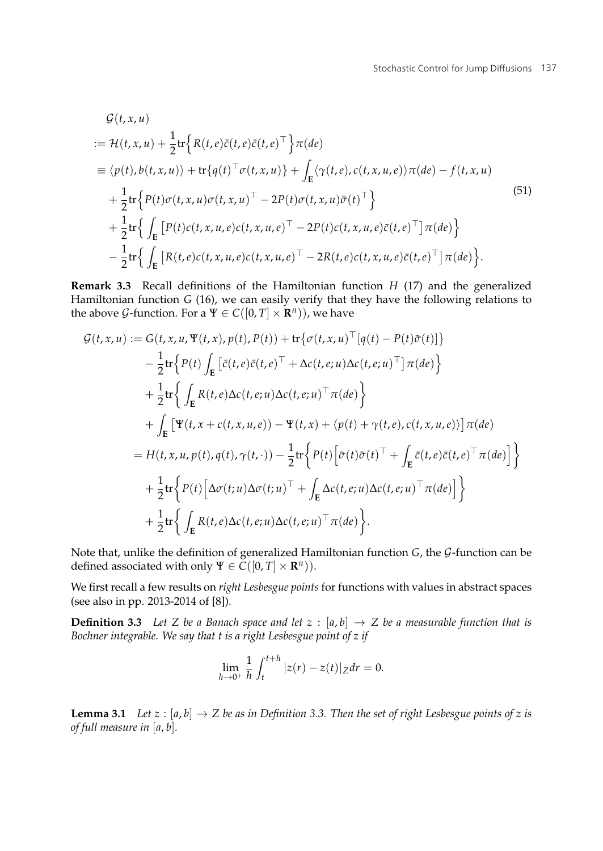$$
\mathcal{G}(t, x, u)
$$
\n
$$
\begin{split}\n&:= \mathcal{H}(t, x, u) + \frac{1}{2} \text{tr} \Big\{ R(t, e) \bar{c}(t, e) \bar{c}(t, e)^{\top} \Big\} \pi(de) \\
&= \langle p(t), b(t, x, u) \rangle + \text{tr} \{ q(t)^{\top} \sigma(t, x, u) \} + \int_{\mathbf{E}} \langle \gamma(t, e), c(t, x, u, e) \rangle \pi(de) - f(t, x, u) \\
&\quad + \frac{1}{2} \text{tr} \Big\{ P(t) \sigma(t, x, u) \sigma(t, x, u)^{\top} - 2P(t) \sigma(t, x, u) \bar{\sigma}(t)^{\top} \Big\} \\
&\quad + \frac{1}{2} \text{tr} \Big\{ \int_{\mathbf{E}} \big[ P(t) c(t, x, u, e) c(t, x, u, e)^{\top} - 2P(t) c(t, x, u, e) \bar{c}(t, e)^{\top} \big] \pi(de) \Big\} \\
&\quad - \frac{1}{2} \text{tr} \Big\{ \int_{\mathbf{E}} \big[ R(t, e) c(t, x, u, e) c(t, x, u, e)^{\top} - 2R(t, e) c(t, x, u, e) \bar{c}(t, e)^{\top} \big] \pi(de) \Big\}.\n\end{split}
$$
\n(51)

**Remark 3.3** Recall definitions of the Hamiltonian function *H* (17) and the generalized Hamiltonian function *G* (16), we can easily verify that they have the following relations to the above *G*-function. For a  $\Psi \in C([0, T] \times \mathbb{R}^n)$ , we have

$$
\mathcal{G}(t,x,u) := G(t,x,u,\Psi(t,x),p(t),P(t)) + \text{tr}\{\sigma(t,x,u)^{\top}[q(t)-P(t)\bar{\sigma}(t)]\}
$$
\n
$$
- \frac{1}{2}\text{tr}\Big\{P(t)\int_{E}\left[\bar{c}(t,e)\bar{c}(t,e)^{\top} + \Delta c(t,e;u)\Delta c(t,e;u)^{\top} \right]\pi(de)\Big\}
$$
\n
$$
+ \frac{1}{2}\text{tr}\Big\{\int_{E}R(t,e)\Delta c(t,e;u)\Delta c(t,e;u)^{\top}\pi(de)\Big\}
$$
\n
$$
+ \int_{E}\left[\Psi(t,x+c(t,x,u,e)) - \Psi(t,x) + \langle p(t) + \gamma(t,e),c(t,x,u,e)\rangle\right]\pi(de)\n= H(t,x,u,p(t),q(t),\gamma(t,\cdot)) - \frac{1}{2}\text{tr}\Big\{P(t)\Big[\bar{\sigma}(t)\bar{\sigma}(t)^{\top} + \int_{E}\bar{c}(t,e)\bar{c}(t,e)^{\top}\pi(de)\Big]\Big\}
$$
\n
$$
+ \frac{1}{2}\text{tr}\Big\{P(t)\Big[\Delta \sigma(t;u)\Delta \sigma(t;u)^{\top} + \int_{E}\Delta c(t,e;u)\Delta c(t,e;u)^{\top}\pi(de)\Big]\Big\}
$$
\n
$$
+ \frac{1}{2}\text{tr}\Big\{\int_{E}R(t,e)\Delta c(t,e;u)\Delta c(t,e;u)^{\top}\pi(de)\Big\}.
$$

Note that, unlike the definition of generalized Hamiltonian function *G*, the G-function can be defined associated with only  $\Psi \in C([0, T] \times \mathbb{R}^n)$ ).

We first recall a few results on *right Lesbesgue points* for functions with values in abstract spaces (see also in pp. 2013-2014 of [8]).

**Definition 3.3** Let Z be a Banach space and let  $z : [a, b] \rightarrow Z$  be a measurable function that is *Bochner integrable. We say that t is a right Lesbesgue point of z if*

$$
\lim_{h \to 0^+} \frac{1}{h} \int_t^{t+h} |z(r) - z(t)| |z dr = 0.
$$

**Lemma 3.1** *Let*  $z : [a, b] \rightarrow Z$  *be as in Definition 3.3. Then the set of right Lesbesgue points of z is of full measure in* [*a*, *b*]*.*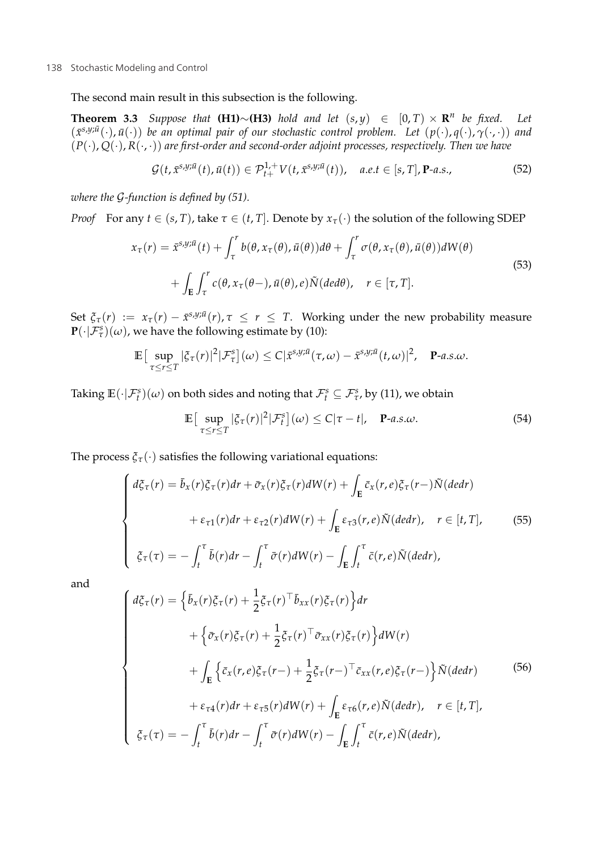The second main result in this subsection is the following.

**Theorem 3.3** *Suppose that* **(H1)**∼**(H3)** *hold and let*  $(s, y) \in [0, T) \times \mathbb{R}^n$  *be fixed.* Let (*x*¯*s*,*y*;*u*¯ (·), *u*¯(·)) *be an optimal pair of our stochastic control problem. Let* (*p*(·), *q*(·), *γ*(·, ·)) *and* (*P*(·), *Q*(·), *R*(·, ·)) *are first-order and second-order adjoint processes, respectively. Then we have*

$$
\mathcal{G}(t,\bar{x}^{s,y;\bar{u}}(t),\bar{u}(t))\in\mathcal{P}_{t+}^{1,+}V(t,\bar{x}^{s,y;\bar{u}}(t)),\quad a.e.t\in[s,T],\mathbf{P}\text{-}a.s.,\tag{52}
$$

*where the* G*-function is defined by (51).*

*Proof* For any  $t \in (s, T)$ , take  $\tau \in (t, T]$ . Denote by  $x_{\tau}(\cdot)$  the solution of the following SDEP

$$
x_{\tau}(r) = \bar{x}^{s,y;\bar{u}}(t) + \int_{\tau}^{r} b(\theta, x_{\tau}(\theta), \bar{u}(\theta))d\theta + \int_{\tau}^{r} \sigma(\theta, x_{\tau}(\theta), \bar{u}(\theta))dW(\theta) + \int_{E} \int_{\tau}^{r} c(\theta, x_{\tau}(\theta-, \bar{u}(\theta), e))\tilde{N}(ded\theta), \quad r \in [\tau, T].
$$
\n(53)

Set  $\xi_{\tau}(r) := x_{\tau}(r) - \bar{x}^{s,y;\bar{u}}(r), \tau \leq r \leq T$ . Working under the new probability measure  $\mathbf{P}(\cdot|\mathcal{F}_{\tau}^s)(\omega)$ , we have the following estimate by (10):

$$
\mathbb{E}\big[\sup_{\tau\leq r\leq T}|\xi_{\tau}(r)|^2|\mathcal{F}_{\tau}^s\big](\omega)\leq C|\tilde{x}^{s,y;\bar{u}}(\tau,\omega)-\tilde{x}^{s,y;\bar{u}}(t,\omega)|^2, \quad \mathbf{P}\text{-}a.s.\omega.
$$

Taking  $\mathbb{E}(\cdot|\mathcal{F}^s_t)(\omega)$  on both sides and noting that  $\mathcal{F}^s_t \subseteq \mathcal{F}^s_{\tau}$ , by (11), we obtain

$$
\mathbb{E}\left[\sup_{\tau\leq r\leq T}|\xi_{\tau}(r)|^{2}|\mathcal{F}_{t}^{s}](\omega)\leq C|\tau-t|,\quad \mathbf{P}\text{-}a.s.\omega.
$$
\n(54)

The process  $\xi_{\tau}(\cdot)$  satisfies the following variational equations:

$$
\begin{cases}\nd\xi_{\tau}(r) = \bar{b}_{x}(r)\xi_{\tau}(r)dr + \bar{\sigma}_{x}(r)\xi_{\tau}(r)dW(r) + \int_{E} \bar{c}_{x}(r,e)\xi_{\tau}(r-\tilde{N}(dedr)) \\
+ \varepsilon_{\tau 1}(r)dr + \varepsilon_{\tau 2}(r)dW(r) + \int_{E} \varepsilon_{\tau 3}(r,e)\tilde{N}(dedr), \quad r \in [t, T], \\
\zeta_{\tau}(\tau) = -\int_{t}^{\tau} \bar{b}(r)dr - \int_{t}^{\tau} \bar{\sigma}(r)dW(r) - \int_{E} \int_{t}^{\tau} \bar{c}(r,e)\tilde{N}(dedr),\n\end{cases}
$$
\n(55)

and

$$
\begin{cases}\nd\xi_{\tau}(r) = \left\{\bar{b}_{x}(r)\xi_{\tau}(r) + \frac{1}{2}\xi_{\tau}(r)^{\top}\bar{b}_{xx}(r)\xi_{\tau}(r)\right\}dr \\
+ \left\{\bar{\sigma}_{x}(r)\xi_{\tau}(r) + \frac{1}{2}\xi_{\tau}(r)^{\top}\bar{\sigma}_{xx}(r)\xi_{\tau}(r)\right\}dW(r) \\
+ \int_{\mathbf{E}}\left\{\bar{c}_{x}(r,e)\xi_{\tau}(r-) + \frac{1}{2}\xi_{\tau}(r-)^{\top}\bar{c}_{xx}(r,e)\xi_{\tau}(r-)\right\}\tilde{N}(dedr) \\
+ \varepsilon_{\tau 4}(r)dr + \varepsilon_{\tau 5}(r)dW(r) + \int_{\mathbf{E}}\varepsilon_{\tau 6}(r,e)\tilde{N}(dedr), \quad r \in [t, T], \\
\xi_{\tau}(\tau) = -\int_{t}^{\tau}\bar{b}(r)dr - \int_{t}^{\tau}\bar{\sigma}(r)dW(r) - \int_{\mathbf{E}}\int_{t}^{\tau}\bar{c}(r,e)\tilde{N}(dedr),\n\end{cases} \tag{56}
$$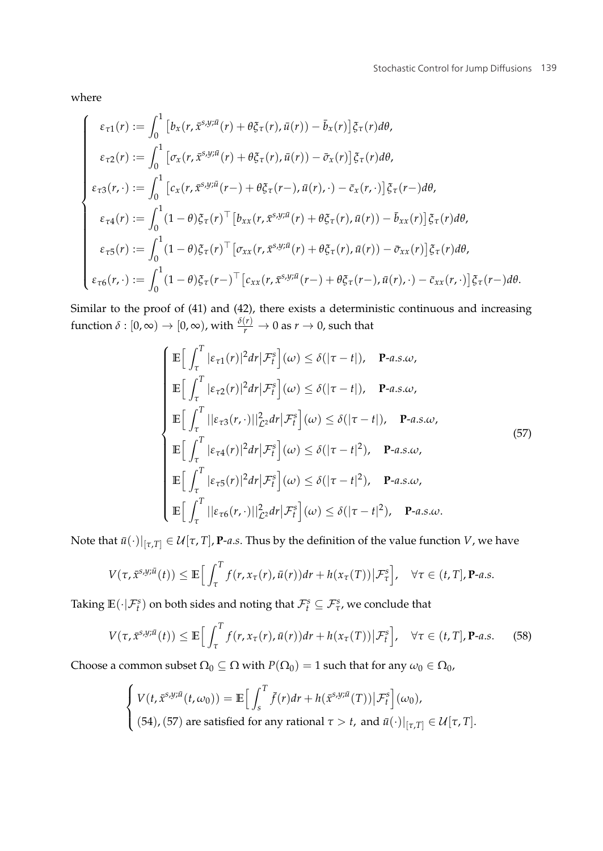where

$$
\begin{cases}\n\varepsilon_{\tau1}(r) := \int_0^1 \left[ b_x(r, \bar{x}^{s,y;\bar{u}}(r) + \theta \xi_{\tau}(r), \bar{u}(r)) - \bar{b}_x(r) \right] \xi_{\tau}(r) d\theta, \\
\varepsilon_{\tau2}(r) := \int_0^1 \left[ \sigma_x(r, \bar{x}^{s,y;\bar{u}}(r) + \theta \xi_{\tau}(r), \bar{u}(r)) - \bar{\sigma}_x(r) \right] \xi_{\tau}(r) d\theta, \\
\varepsilon_{\tau3}(r, \cdot) := \int_0^1 \left[ c_x(r, \bar{x}^{s,y;\bar{u}}(r-) + \theta \xi_{\tau}(r-), \bar{u}(r), \cdot) - \bar{c}_x(r, \cdot) \right] \xi_{\tau}(r-) d\theta, \\
\varepsilon_{\tau4}(r) := \int_0^1 (1 - \theta) \xi_{\tau}(r)^\top \left[ b_{xx}(r, \bar{x}^{s,y;\bar{u}}(r) + \theta \xi_{\tau}(r), \bar{u}(r)) - \bar{b}_{xx}(r) \right] \xi_{\tau}(r) d\theta, \\
\varepsilon_{\tau5}(r) := \int_0^1 (1 - \theta) \xi_{\tau}(r)^\top \left[ \sigma_{xx}(r, \bar{x}^{s,y;\bar{u}}(r) + \theta \xi_{\tau}(r), \bar{u}(r)) - \bar{\sigma}_{xx}(r) \right] \xi_{\tau}(r) d\theta, \\
\varepsilon_{\tau6}(r, \cdot) := \int_0^1 (1 - \theta) \xi_{\tau}(r-)^\top \left[ c_{xx}(r, \bar{x}^{s,y;\bar{u}}(r-) + \theta \xi_{\tau}(r-), \bar{u}(r), \cdot) - \bar{c}_{xx}(r, \cdot) \right] \xi_{\tau}(r-) d\theta.\n\end{cases}
$$

Similar to the proof of (41) and (42), there exists a deterministic continuous and increasing function  $\delta: [0,\infty) \to [0,\infty)$ , with  $\frac{\delta(r)}{r} \to 0$  as  $r \to 0$ , such that

$$
\begin{cases}\n\mathbb{E}\Big[\int_{\tau}^{T}|\varepsilon_{\tau 1}(r)|^{2}dr|\mathcal{F}_{t}^{s}\Big](\omega)\leq\delta(|\tau-t|), \quad \mathbf{P}\text{-}a.s.\omega, \\
\mathbb{E}\Big[\int_{\tau}^{T}|\varepsilon_{\tau 2}(r)|^{2}dr|\mathcal{F}_{t}^{s}\Big](\omega)\leq\delta(|\tau-t|), \quad \mathbf{P}\text{-}a.s.\omega, \\
\mathbb{E}\Big[\int_{\tau}^{T}||\varepsilon_{\tau 3}(r,\cdot)||_{\mathcal{L}^{2}}^{2}dr|\mathcal{F}_{t}^{s}\Big](\omega)\leq\delta(|\tau-t|), \quad \mathbf{P}\text{-}a.s.\omega, \\
\mathbb{E}\Big[\int_{\tau}^{T}|\varepsilon_{\tau 4}(r)|^{2}dr|\mathcal{F}_{t}^{s}\Big](\omega)\leq\delta(|\tau-t|^{2}), \quad \mathbf{P}\text{-}a.s.\omega, \\
\mathbb{E}\Big[\int_{\tau}^{T}|\varepsilon_{\tau 5}(r)|^{2}dr|\mathcal{F}_{t}^{s}\Big](\omega)\leq\delta(|\tau-t|^{2}), \quad \mathbf{P}\text{-}a.s.\omega, \\
\mathbb{E}\Big[\int_{\tau}^{T}||\varepsilon_{\tau 6}(r,\cdot)||_{\mathcal{L}^{2}}^{2}dr|\mathcal{F}_{t}^{s}\Big](\omega)\leq\delta(|\tau-t|^{2}), \quad \mathbf{P}\text{-}a.s.\omega.\n\end{cases} (57)
$$

Note that  $\bar{u}(\cdot)|_{[\tau,T]} \in \mathcal{U}[\tau,T]$ , **P**-*a.s*. Thus by the definition of the value function *V*, we have

$$
V(\tau, \bar{x}^{s,y;\bar{u}}(t)) \leq \mathbb{E}\Big[\int_{\tau}^{T} f(r, x_{\tau}(r), \bar{u}(r))dr + h(x_{\tau}(T))\big|\mathcal{F}_{\tau}^{s}\Big], \quad \forall \tau \in (t, T], \mathbf{P}\text{-}a.s.
$$

Taking  $\mathbb{E}(\cdot|\mathcal{F}^s_t)$  on both sides and noting that  $\mathcal{F}^s_t \subseteq \mathcal{F}^s_{\tau}$ , we conclude that

$$
V(\tau, \bar{x}^{s,y;\bar{u}}(t)) \le \mathbb{E}\Big[\int_{\tau}^{T} f(r, x_{\tau}(r), \bar{u}(r)) dr + h(x_{\tau}(T)) \big| \mathcal{F}_{t}^{s}\Big], \quad \forall \tau \in (t, T], \mathbf{P}\text{-}a.s. \tag{58}
$$

Choose a common subset  $\Omega_0 \subseteq \Omega$  with  $P(\Omega_0) = 1$  such that for any  $\omega_0 \in \Omega_0$ ,

$$
\begin{cases} V(t, \bar{x}^{s,y;\bar{u}}(t,\omega_0)) = \mathbb{E}\Big[\int_s^T \bar{f}(r)dr + h(\bar{x}^{s,y;\bar{u}}(T))\big|\mathcal{F}_t^s\Big](\omega_0), \\ (54), (57) \text{ are satisfied for any rational } \tau > t, \text{ and } \bar{u}(\cdot)|_{[\tau,T]} \in \mathcal{U}[\tau,T]. \end{cases}
$$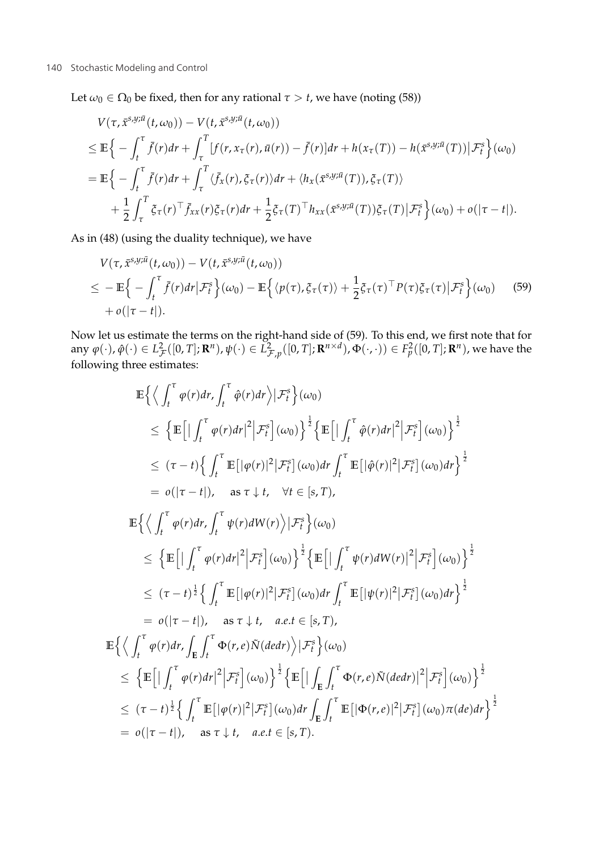Let  $\omega_0 \in \Omega_0$  be fixed, then for any rational  $\tau > t$ , we have (noting (58))

$$
V(\tau, \bar{x}^{s,y;\bar{u}}(t,\omega_0)) - V(t, \bar{x}^{s,y;\bar{u}}(t,\omega_0))
$$
  
\n
$$
\leq \mathbb{E}\Big\{-\int_t^{\tau} \bar{f}(r)dr + \int_{\tau}^T [f(r, x_{\tau}(r), \bar{u}(r)) - \bar{f}(r)]dr + h(x_{\tau}(T)) - h(\bar{x}^{s,y;\bar{u}}(T))|\mathcal{F}_t^s\Big\}(\omega_0)
$$
  
\n
$$
= \mathbb{E}\Big\{-\int_t^{\tau} \bar{f}(r)dr + \int_{\tau}^T \langle \bar{f}_x(r), \bar{g}_\tau(r)\rangle dr + \langle h_x(\bar{x}^{s,y;\bar{u}}(T)), \bar{g}_\tau(T)\rangle
$$
  
\n
$$
+ \frac{1}{2} \int_{\tau}^T \bar{g}_\tau(r)^\top \bar{f}_{xx}(r) \bar{g}_\tau(r) dr + \frac{1}{2} \bar{g}_\tau(T)^\top h_{xx}(\bar{x}^{s,y;\bar{u}}(T)) \bar{g}_\tau(T) |\mathcal{F}_t^s\Big\}(\omega_0) + o(|\tau - t|).
$$

As in (48) (using the duality technique), we have

$$
V(\tau, \bar{x}^{s,y;\bar{u}}(t,\omega_0)) - V(t, \bar{x}^{s,y;\bar{u}}(t,\omega_0))
$$
  
\n
$$
\leq - \mathbb{E}\Big\{-\int_t^{\tau} \bar{f}(r)dr \big|\mathcal{F}_t^s\Big\}(\omega_0) - \mathbb{E}\Big\{\langle p(\tau), \bar{\zeta}_{\tau}(\tau)\rangle + \frac{1}{2}\bar{\zeta}_{\tau}(\tau)^{\top}P(\tau)\bar{\zeta}_{\tau}(\tau) \big|\mathcal{F}_t^s\Big\}(\omega_0) \qquad (59)
$$
  
\n
$$
+ o(|\tau - t|).
$$

Now let us estimate the terms on the right-hand side of (59). To this end, we first note that for  $\operatorname{any}\varphi(\cdot),\hat{\varphi}(\cdot)\in L^2_{\mathcal{F}}([0,T];{\mathbf{R}}^n), \psi(\cdot)\in L^2_{{\mathcal{F}},p}([0,T];{\mathbf{R}}^{n\times d}), \Phi(\cdot,\cdot))\in F^2_p([0,T];{\mathbf{R}}^n),$  we have the following three estimates:

$$
\mathbb{E}\left\{\left\langle \int_{t}^{\tau}\varphi(r)dr, \int_{t}^{\tau}\hat{\varphi}(r)dr \right\rangle |\mathcal{F}_{t}^{s}\right\}(\omega_{0})
$$
\n
$$
\leq \left\{\mathbb{E}\left[\left|\int_{t}^{\tau}\varphi(r)dr\right|^{2} |\mathcal{F}_{t}^{s}\right](\omega_{0})\right\}^{\frac{1}{2}} \left\{\mathbb{E}\left[\left|\int_{t}^{\tau}\hat{\varphi}(r)dr\right|^{2} |\mathcal{F}_{t}^{s}\right](\omega_{0})\right\}^{\frac{1}{2}}
$$
\n
$$
\leq (\tau-t)\left\{\int_{t}^{\tau}\mathbb{E}\left[\left|\varphi(r)\right|^{2} |\mathcal{F}_{t}^{s}\right](\omega_{0})dr \int_{t}^{\tau}\mathbb{E}\left[\left|\hat{\varphi}(r)\right|^{2} |\mathcal{F}_{t}^{s}\right](\omega_{0})dr\right\}^{\frac{1}{2}}
$$
\n
$$
= o(|\tau-t|), \text{ as } \tau \downarrow t, \quad \forall t \in [s, T),
$$
\n
$$
\mathbb{E}\left\{\left\langle \int_{t}^{\tau}\varphi(r)dr, \int_{t}^{\tau}\psi(r)dW(r)\right\rangle |\mathcal{F}_{t}^{s}\right\}( \omega_{0})
$$
\n
$$
\leq \left\{\mathbb{E}\left[\left|\int_{t}^{\tau}\varphi(r)dr\right|^{2} |\mathcal{F}_{t}^{s}\right](\omega_{0})\right\}^{\frac{1}{2}} \left\{\mathbb{E}\left[\left|\int_{t}^{\tau}\psi(r)dW(r)\right|^{2} |\mathcal{F}_{t}^{s}\right](\omega_{0})\right\}^{\frac{1}{2}}
$$
\n
$$
\leq (\tau-t)^{\frac{1}{2}} \left\{\int_{t}^{\tau}\mathbb{E}\left[\left|\varphi(r)\right|^{2} |\mathcal{F}_{t}^{s}\right](\omega_{0})dr \int_{t}^{\tau}\mathbb{E}\left[\left|\psi(r)\right|^{2} |\mathcal{F}_{t}^{s}\right](\omega_{0})dr\right\}^{\frac{1}{2}}
$$
\n
$$
= o(|\tau-t|), \text{ as } \tau \downarrow t, \text{ a.e. t \in [s, T),
$$
\n<math display="</math>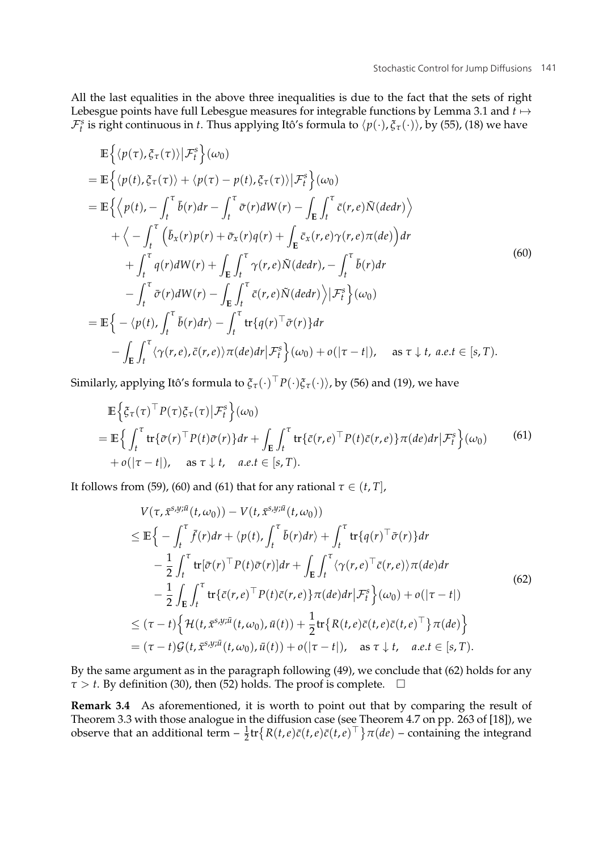All the last equalities in the above three inequalities is due to the fact that the sets of right Lebesgue points have full Lebesgue measures for integrable functions by Lemma 3.1 and  $t \mapsto$  $\mathcal{F}_t^s$  is right continuous in *t*. Thus applying Itô's formula to  $\langle p(\cdot), \xi_\tau(\cdot) \rangle$ , by (55), (18) we have

$$
\mathbb{E}\left\{\langle p(\tau),\xi_{\tau}(\tau)\rangle|\mathcal{F}_{t}^{s}\right\}(\omega_{0})
$$
\n
$$
=\mathbb{E}\left\{\langle p(t),\xi_{\tau}(\tau)\rangle+\langle p(\tau)-p(t),\xi_{\tau}(\tau)\rangle|\mathcal{F}_{t}^{s}\right\}(\omega_{0})
$$
\n
$$
=\mathbb{E}\left\{\langle p(t),-\int_{t}^{\tau}\bar{b}(r)dr-\int_{t}^{\tau}\bar{\sigma}(r)dW(r)-\int_{E}\int_{t}^{\tau}\bar{c}(r,e)\bar{N}(dedr)\right\}
$$
\n
$$
+\langle-\int_{t}^{\tau}\left(\bar{b}_{x}(r)p(r)+\bar{\sigma}_{x}(r)q(r)+\int_{E}\bar{c}_{x}(r,e)\gamma(r,e)\pi(de)\right)dr
$$
\n
$$
+\int_{t}^{\tau}q(r)dW(r)+\int_{E}\int_{t}^{\tau}\gamma(r,e)\bar{N}(dedr),-\int_{t}^{\tau}\bar{b}(r)dr
$$
\n
$$
-\int_{t}^{\tau}\bar{\sigma}(r)dW(r)-\int_{E}\int_{t}^{\tau}\bar{c}(r,e)\bar{N}(dedr)\rangle|\mathcal{F}_{t}^{s}\}(\omega_{0})
$$
\n
$$
=\mathbb{E}\left\{-\langle p(t),\int_{t}^{\tau}\bar{b}(r)dr\rangle-\int_{t}^{\tau}\text{tr}\left\{q(r)^{\top}\bar{\sigma}(r)\right\}dr
$$
\n
$$
-\int_{E}\int_{t}^{\tau}\langle\gamma(r,e),\bar{c}(r,e)\rangle\pi(de)dr|\mathcal{F}_{t}^{s}\right\}(\omega_{0})+o(|\tau-t|), \text{ as } \tau \downarrow t, a.e.t \in [s, T).
$$

Similarly, applying Itô's formula to  $\zeta_{\tau}(\cdot)^\top P(\cdot)\zeta_{\tau}(\cdot)$ , by (56) and (19), we have

$$
\mathbb{E}\Big\{\xi_{\tau}(\tau)^{\top}P(\tau)\xi_{\tau}(\tau)\big|\mathcal{F}_{t}^{s}\Big\}(\omega_{0})
$$
\n
$$
=\mathbb{E}\Big\{\int_{t}^{\tau}\text{tr}\{\bar{\sigma}(r)^{\top}P(t)\bar{\sigma}(r)\}dr+\int_{\mathbb{E}}\int_{t}^{\tau}\text{tr}\{\bar{c}(r,e)^{\top}P(t)\bar{c}(r,e)\}\pi(de)dr\big|\mathcal{F}_{t}^{s}\Big\}(\omega_{0})
$$
\n
$$
+o(|\tau-t|), \quad \text{as } \tau \downarrow t, \quad a.e.t \in [s,T). \tag{61}
$$

It follows from (59), (60) and (61) that for any rational  $\tau \in (t, T]$ ,

$$
V(\tau, \bar{x}^{s,y;\bar{u}}(t,\omega_0)) - V(t, \bar{x}^{s,y;\bar{u}}(t,\omega_0))
$$
  
\n
$$
\leq \mathbb{E}\Big\{-\int_t^{\tau} \bar{f}(r)dr + \langle p(t), \int_t^{\tau} \bar{b}(r)dr \rangle + \int_t^{\tau} tr\{q(r)^{\top}\bar{\sigma}(r)\}dr
$$
  
\n
$$
-\frac{1}{2} \int_t^{\tau} tr[\bar{\sigma}(r)^{\top} P(t)\bar{\sigma}(r)]dr + \int_E \int_t^{\tau} \langle \gamma(r,e)^{\top}\bar{c}(r,e) \rangle \pi(de)dr
$$
  
\n
$$
-\frac{1}{2} \int_E \int_t^{\tau} tr\{\bar{c}(r,e)^{\top} P(t)\bar{c}(r,e)\} \pi(de)dr | \mathcal{F}_t^s \Big\}( \omega_0) + o(|\tau - t|)
$$
  
\n
$$
\leq (\tau - t) \Big\{ \mathcal{H}(t, \bar{x}^{s,y;\bar{u}}(t,\omega_0), \bar{u}(t)) + \frac{1}{2} tr\{ R(t,e) \bar{c}(t,e) \bar{c}(t,e)^{\top} \} \pi(de) \Big\}
$$
  
\n
$$
= (\tau - t) \mathcal{G}(t, \bar{x}^{s,y;\bar{u}}(t,\omega_0), \bar{u}(t)) + o(|\tau - t|), \text{ as } \tau \downarrow t, \text{ a.e. } t \in [s, T).
$$

By the same argument as in the paragraph following (49), we conclude that (62) holds for any  $\tau > t$ . By definition (30), then (52) holds. The proof is complete.  $\quad \Box$ 

**Remark 3.4** As aforementioned, it is worth to point out that by comparing the result of Theorem 3.3 with those analogue in the diffusion case (see Theorem 4.7 on pp. 263 of [18]), we observe that an additional term  $-\frac{1}{2}$ tr $\{R(t,e)\bar{c}(t,e)\bar{c}(t,e)^{\top}\}\pi(de)$  – containing the integrand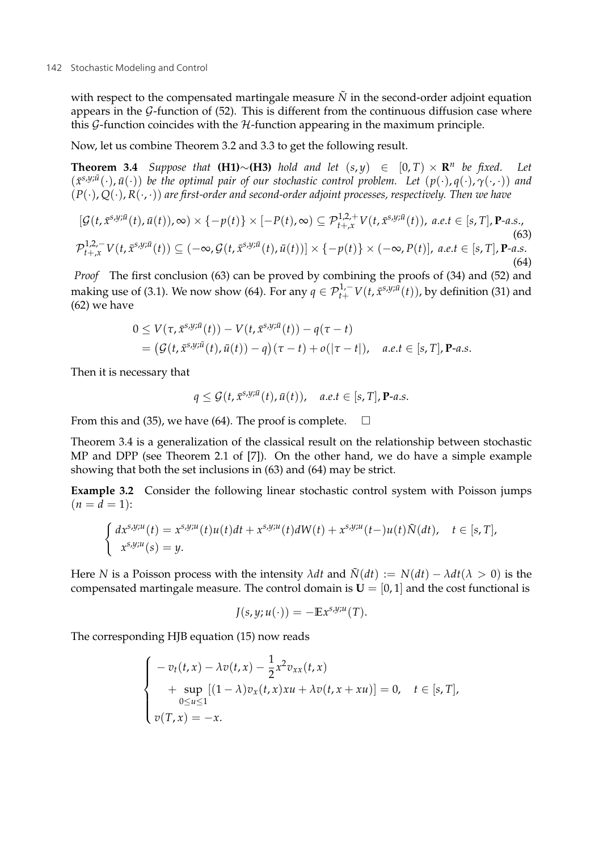with respect to the compensated martingale measure  $\tilde{N}$  in the second-order adjoint equation appears in the  $G$ -function of (52). This is different from the continuous diffusion case where this  $G$ -function coincides with the  $H$ -function appearing in the maximum principle.

Now, let us combine Theorem 3.2 and 3.3 to get the following result.

**Theorem 3.4** *Suppose that* **(H1)**∼**(H3)** *hold and let*  $(s, y) \in [0, T) \times \mathbb{R}^n$  *be fixed.* Let  $(\bar{x}^{\bar{s},y;\bar{u}}(\cdot),\bar{u}(\cdot))$  be the optimal pair of our stochastic control problem. Let  $(p(\cdot),q(\cdot),\gamma(\cdot,\cdot))$  and (*P*(·), *Q*(·), *R*(·, ·)) *are first-order and second-order adjoint processes, respectively. Then we have*

$$
[\mathcal{G}(t,\bar{x}^{s,y;\bar{u}}(t),\bar{u}(t)),\infty)\times\{-p(t)\}\times[-P(t),\infty)\subseteq\mathcal{P}_{t+,\bar{x}}^{1,2,+}V(t,\bar{x}^{s,y;\bar{u}}(t)), a.e.t \in[s,T],\mathbf{P}\text{-}a.s.,(63)\mathcal{P}_{t+,\bar{x}}^{1,2,-}V(t,\bar{x}^{s,y;\bar{u}}(t))\subseteq(-\infty,\mathcal{G}(t,\bar{x}^{s,y;\bar{u}}(t),\bar{u}(t))]\times\{-p(t)\}\times(-\infty,P(t)], a.e.t \in[s,T],\mathbf{P}\text{-}a.s.
$$
(64)

*Proof* The first conclusion (63) can be proved by combining the proofs of (34) and (52) and making use of (3.1). We now show (64). For any  $q \in \mathcal{P}_{t+}^{1,-}V(t,\bar{x}^{s,y;\bar{u}}(t))$ , by definition (31) and (62) we have

$$
0 \leq V(\tau, \bar{x}^{s,y;\bar{u}}(t)) - V(t, \bar{x}^{s,y;\bar{u}}(t)) - q(\tau - t)
$$
  
= 
$$
(\mathcal{G}(t, \bar{x}^{s,y;\bar{u}}(t), \bar{u}(t)) - q)(\tau - t) + o(|\tau - t|), \quad a.e. t \in [s, T], \mathbf{P}\text{-}a.s.
$$

Then it is necessary that

$$
q \leq \mathcal{G}(t, \bar{x}^{s,y;\bar{u}}(t), \bar{u}(t)), \quad a.e.t \in [s,T], \mathbf{P}\text{-}a.s.
$$

From this and (35), we have (64). The proof is complete.  $\Box$ 

Theorem 3.4 is a generalization of the classical result on the relationship between stochastic MP and DPP (see Theorem 2.1 of [7]). On the other hand, we do have a simple example showing that both the set inclusions in (63) and (64) may be strict.

**Example 3.2** Consider the following linear stochastic control system with Poisson jumps  $(n = d = 1)$ :

$$
\begin{cases} dx^{s,y;u}(t) = x^{s,y;u}(t)u(t)dt + x^{s,y;u}(t)dW(t) + x^{s,y;u}(t-u(t)\tilde{N}(dt), \quad t \in [s,T],\\ x^{s,y;u}(s) = y. \end{cases}
$$

Here *N* is a Poisson process with the intensity  $\lambda dt$  and  $\tilde{N}(dt) := N(dt) - \lambda dt (\lambda > 0)$  is the compensated martingale measure. The control domain is  $U = [0, 1]$  and the cost functional is

$$
J(s,y;u(\cdot))=-\mathbb{E}x^{s,y;u}(T).
$$

The corresponding HJB equation (15) now reads

$$
\begin{cases}\n-v_t(t,x) - \lambda v(t,x) - \frac{1}{2}x^2 v_{xx}(t,x) \\
+ \sup_{0 \le u \le 1} [(1-\lambda)v_x(t,x) x u + \lambda v(t,x+ x u)] = 0, \quad t \in [s,T], \\
v(T,x) = -x.\n\end{cases}
$$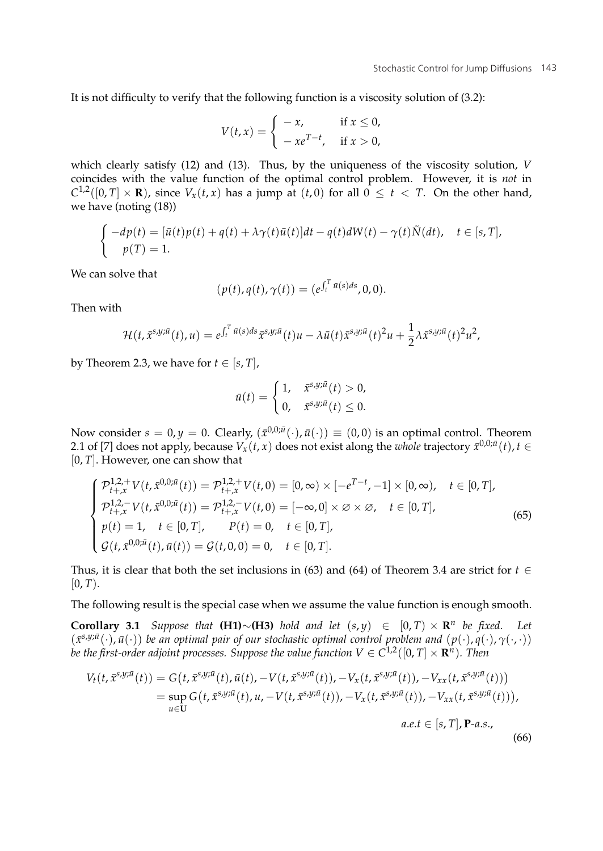It is not difficulty to verify that the following function is a viscosity solution of (3.2):

$$
V(t,x) = \begin{cases} -x, & \text{if } x \leq 0, \\ -xe^{T-t}, & \text{if } x > 0, \end{cases}
$$

which clearly satisfy (12) and (13). Thus, by the uniqueness of the viscosity solution, *V* coincides with the value function of the optimal control problem. However, it is *not* in  $C^{1,2}([0,T] \times \mathbf{R})$ , since  $V_x(t,x)$  has a jump at  $(t,0)$  for all  $0 \le t \le T$ . On the other hand, we have (noting (18))

$$
\begin{cases}\n-dp(t) = [\bar{u}(t)p(t) + q(t) + \lambda \gamma(t)\bar{u}(t)]dt - q(t)dW(t) - \gamma(t)\tilde{N}(dt), \quad t \in [s, T], \\
p(T) = 1.\n\end{cases}
$$

We can solve that

$$
(p(t), q(t), \gamma(t)) = (e^{\int_t^T \bar{u}(s)ds}, 0, 0).
$$

Then with

$$
\mathcal{H}(t,\bar{x}^{s,y;\bar{u}}(t),u)=e^{\int_t^T \bar{u}(s)ds}\bar{x}^{s,y;\bar{u}}(t)u-\lambda\bar{u}(t)\bar{x}^{s,y;\bar{u}}(t)^2u+\frac{1}{2}\lambda\bar{x}^{s,y;\bar{u}}(t)^2u^2,
$$

by Theorem 2.3, we have for  $t \in [s, T]$ ,

$$
\bar{u}(t) = \begin{cases} 1, & \bar{x}^{s,y;\bar{u}}(t) > 0, \\ 0, & \bar{x}^{s,y;\bar{u}}(t) \leq 0. \end{cases}
$$

Now consider  $s = 0, y = 0$ . Clearly,  $(\bar{x}^{0,0;\bar{u}}(\cdot), \bar{u}(\cdot)) \equiv (0,0)$  is an optimal control. Theorem 2.1 of [7] does not apply, because  $V_x(t, x)$  does not exist along the *whole* trajectory  $\bar{x}^{0,0;\bar{u}}(t)$ ,  $t \in \bar{C}$ [0, *T*]. However, one can show that

$$
\begin{cases}\n\mathcal{P}_{t+x}^{1,2,+}V(t,\bar{x}^{0,0;\bar{u}}(t)) = \mathcal{P}_{t+x}^{1,2,+}V(t,0) = [0,\infty) \times [-e^{T-t}, -1] \times [0,\infty), \quad t \in [0,T], \\
\mathcal{P}_{t+x}^{1,2,-}V(t,\bar{x}^{0,0;\bar{u}}(t)) = \mathcal{P}_{t+x}^{1,2,-}V(t,0) = [-\infty,0] \times \varnothing \times \varnothing, \quad t \in [0,T], \\
p(t) = 1, \quad t \in [0,T], \qquad P(t) = 0, \quad t \in [0,T], \\
\mathcal{G}(t,\bar{x}^{0,0;\bar{u}}(t),\bar{u}(t)) = \mathcal{G}(t,0,0) = 0, \quad t \in [0,T].\n\end{cases}
$$
\n(65)

Thus, it is clear that both the set inclusions in (63) and (64) of Theorem 3.4 are strict for  $t \in$  $[0, T)$ .

The following result is the special case when we assume the value function is enough smooth.

**Corollary 3.1** *Suppose that* **(H1)**∼**(H3)** *hold and let* (*s*, *<sup>y</sup>*) <sup>∈</sup> [0, *<sup>T</sup>*) <sup>×</sup> **<sup>R</sup>***<sup>n</sup> be fixed. Let*  $(\bar{x}^{\bar{s},y;\bar{u}}(\cdot),\bar{u}(\cdot))$  *be an optimal pair of our stochastic optimal control problem and*  $(p(\cdot), q(\cdot), \gamma(\cdot, \cdot))$ *be the first-order adjoint processes. Suppose the value function*  $V \in C^{1,2}([0, T] \times \mathbb{R}^n)$ *. Then* 

$$
V_t(t, \bar{x}^{s,y;\bar{u}}(t)) = G\big(t, \bar{x}^{s,y;\bar{u}}(t), \bar{u}(t), -V(t, \bar{x}^{s,y;\bar{u}}(t)), -V_x(t, \bar{x}^{s,y;\bar{u}}(t)), -V_{xx}(t, \bar{x}^{s,y;\bar{u}}(t))\big)
$$
  
= 
$$
\sup_{u \in U} G\big(t, \bar{x}^{s,y;\bar{u}}(t), u, -V(t, \bar{x}^{s,y;\bar{u}}(t)), -V_x(t, \bar{x}^{s,y;\bar{u}}(t)), -V_{xx}(t, \bar{x}^{s,y;\bar{u}}(t))\big),
$$
  

$$
a.e. t \in [s, T], \mathbf{P}\text{-}a.s.,
$$

(66)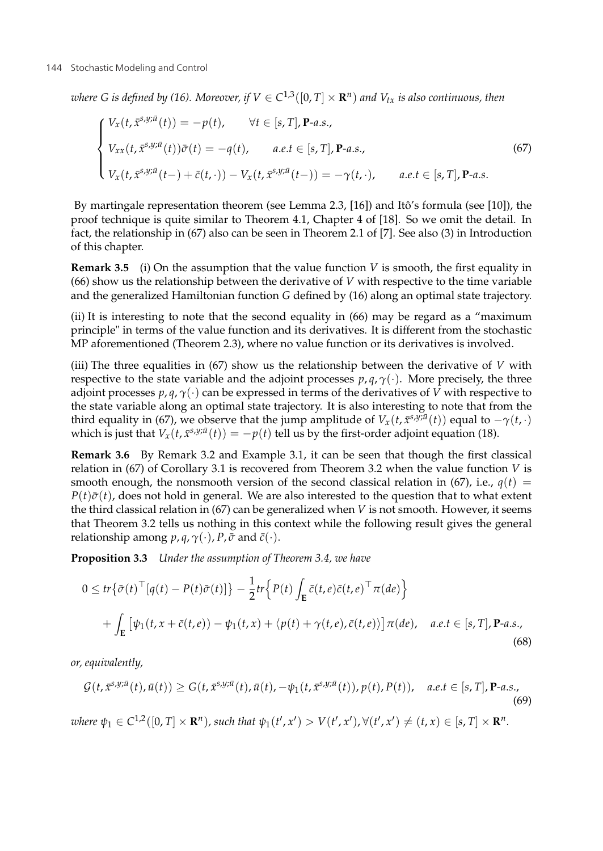*where G is defined by (16). Moreover, if*  $V \in C^{1,3}([0,T] \times \mathbb{R}^n)$  *and*  $V_{tx}$  *is also continuous, then* 

$$
\begin{cases}\nV_x(t, \bar{x}^{s,y;\bar{u}}(t)) = -p(t), & \forall t \in [s, T], \mathbf{P}\text{-}a.s., \\
V_{xx}(t, \bar{x}^{s,y;\bar{u}}(t))\bar{\sigma}(t) = -q(t), & a.e.t \in [s, T], \mathbf{P}\text{-}a.s., \\
V_x(t, \bar{x}^{s,y;\bar{u}}(t-) + \bar{c}(t, \cdot)) - V_x(t, \bar{x}^{s,y;\bar{u}}(t-)) = -\gamma(t, \cdot), & a.e.t \in [s, T], \mathbf{P}\text{-}a.s.\n\end{cases}
$$
\n(67)

By martingale representation theorem (see Lemma 2.3, [16]) and Itô's formula (see [10]), the proof technique is quite similar to Theorem 4.1, Chapter 4 of [18]. So we omit the detail. In fact, the relationship in (67) also can be seen in Theorem 2.1 of [7]. See also (3) in Introduction of this chapter.

**Remark 3.5** (i) On the assumption that the value function *V* is smooth, the first equality in (66) show us the relationship between the derivative of *V* with respective to the time variable and the generalized Hamiltonian function *G* defined by (16) along an optimal state trajectory.

(ii) It is interesting to note that the second equality in (66) may be regard as a "maximum principle" in terms of the value function and its derivatives. It is different from the stochastic MP aforementioned (Theorem 2.3), where no value function or its derivatives is involved.

(iii) The three equalities in (67) show us the relationship between the derivative of *V* with respective to the state variable and the adjoint processes  $p, q, \gamma(\cdot)$ . More precisely, the three adjoint processes  $p$ ,  $q$ ,  $\gamma$ (·) can be expressed in terms of the derivatives of *V* with respective to the state variable along an optimal state trajectory. It is also interesting to note that from the third equality in (67), we observe that the jump amplitude of  $V_x(t, \bar{x}^{s,y;\bar{u}}(t))$  equal to  $-\gamma(t, \cdot)$ which is just that  $V_x(t, \bar{x}^{s,y;\bar{u}}(t)) = -p(t)$  tell us by the first-order adjoint equation (18).

**Remark 3.6** By Remark 3.2 and Example 3.1, it can be seen that though the first classical relation in (67) of Corollary 3.1 is recovered from Theorem 3.2 when the value function *V* is smooth enough, the nonsmooth version of the second classical relation in (67), i.e.,  $q(t)$  =  $P(t)\bar{\sigma}(t)$ , does not hold in general. We are also interested to the question that to what extent the third classical relation in (67) can be generalized when *V* is not smooth. However, it seems that Theorem 3.2 tells us nothing in this context while the following result gives the general relationship among  $p$ ,  $q$ ,  $\gamma$ (·),  $P$ ,  $\bar{\sigma}$  and  $\bar{c}$ (·).

**Proposition 3.3** *Under the assumption of Theorem 3.4, we have*

$$
0 \leq tr \{\bar{\sigma}(t)^{\top} [q(t) - P(t)\bar{\sigma}(t)]\} - \frac{1}{2} tr \Big\{ P(t) \int_{\mathbf{E}} \bar{c}(t, e) \bar{c}(t, e)^{\top} \pi(de) \Big\}
$$
  
+ 
$$
\int_{\mathbf{E}} \left[ \psi_1(t, x + \bar{c}(t, e)) - \psi_1(t, x) + \langle p(t) + \gamma(t, e), \bar{c}(t, e) \rangle \right] \pi(de), \quad a.e. t \in [s, T], \mathbf{P}\text{-}a.s.,
$$
(68)

*or, equivalently,*

$$
\mathcal{G}(t, \bar{x}^{s,y;\bar{u}}(t), \bar{u}(t)) \ge G(t, \bar{x}^{s,y;\bar{u}}(t), \bar{u}(t), -\psi_1(t, \bar{x}^{s,y;\bar{u}}(t)), p(t), P(t)), \quad a.e. t \in [s, T], \mathbf{P}\text{-}a.s.,
$$
\n
$$
(69)
$$
\n
$$
\text{where } \psi_1 \in C^{1,2}([0, T] \times \mathbf{R}^n), \text{ such that } \psi_1(t', x') > V(t', x'), \forall (t', x') \ne (t, x) \in [s, T] \times \mathbf{R}^n.
$$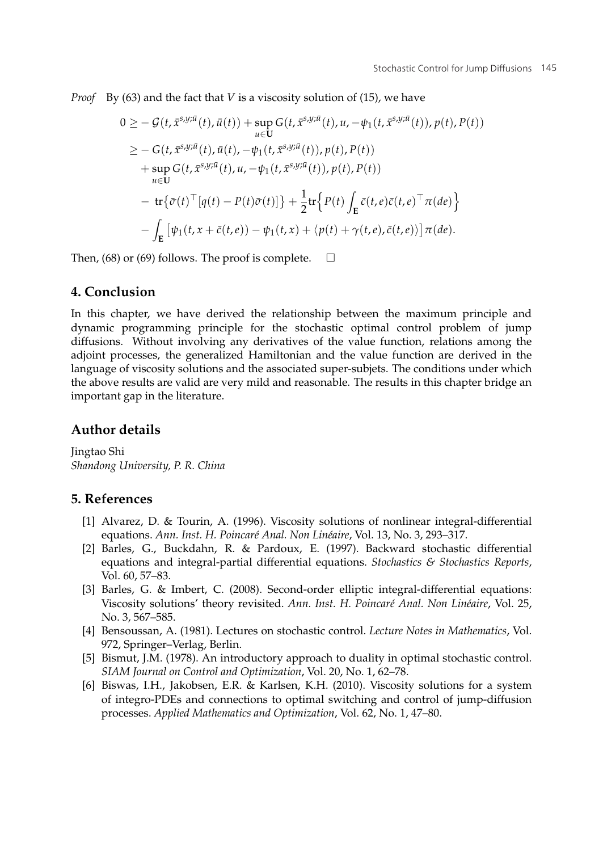*Proof* By (63) and the fact that *V* is a viscosity solution of (15), we have

$$
0 \geq -\mathcal{G}(t, \bar{x}^{s,y;\bar{u}}(t), \bar{u}(t)) + \sup_{u \in U} G(t, \bar{x}^{s,y;\bar{u}}(t), u, -\psi_1(t, \bar{x}^{s,y;\bar{u}}(t)), p(t), P(t))
$$
  
\n
$$
\geq -G(t, \bar{x}^{s,y;\bar{u}}(t), \bar{u}(t), -\psi_1(t, \bar{x}^{s,y;\bar{u}}(t)), p(t), P(t))
$$
  
\n
$$
+ \sup_{u \in U} G(t, \bar{x}^{s,y;\bar{u}}(t), u, -\psi_1(t, \bar{x}^{s,y;\bar{u}}(t)), p(t), P(t))
$$
  
\n
$$
- \text{tr}\{\bar{\sigma}(t)^{\top}[q(t) - P(t)\bar{\sigma}(t)]\} + \frac{1}{2} \text{tr}\{P(t)\int_{E} \bar{c}(t, e)\bar{c}(t, e)^{\top} \pi(de)\}
$$
  
\n
$$
- \int_{E} [\psi_1(t, x + \bar{c}(t, e)) - \psi_1(t, x) + \langle p(t) + \gamma(t, e), \bar{c}(t, e) \rangle] \pi(de).
$$

Then, (68) or (69) follows. The proof is complete.  $\Box$ 

### **4. Conclusion**

In this chapter, we have derived the relationship between the maximum principle and dynamic programming principle for the stochastic optimal control problem of jump diffusions. Without involving any derivatives of the value function, relations among the adjoint processes, the generalized Hamiltonian and the value function are derived in the language of viscosity solutions and the associated super-subjets. The conditions under which the above results are valid are very mild and reasonable. The results in this chapter bridge an important gap in the literature.

## **Author details**

Jingtao Shi *Shandong University, P. R. China*

# **5. References**

- [1] Alvarez, D. & Tourin, A. (1996). Viscosity solutions of nonlinear integral-differential equations. *Ann. Inst. H. Poincaré Anal. Non Linéaire*, Vol. 13, No. 3, 293–317.
- [2] Barles, G., Buckdahn, R. & Pardoux, E. (1997). Backward stochastic differential equations and integral-partial differential equations. *Stochastics & Stochastics Reports*, Vol. 60, 57–83.
- [3] Barles, G. & Imbert, C. (2008). Second-order elliptic integral-differential equations: Viscosity solutions' theory revisited. *Ann. Inst. H. Poincaré Anal. Non Linéaire*, Vol. 25, No. 3, 567–585.
- [4] Bensoussan, A. (1981). Lectures on stochastic control. *Lecture Notes in Mathematics*, Vol. 972, Springer–Verlag, Berlin.
- [5] Bismut, J.M. (1978). An introductory approach to duality in optimal stochastic control. *SIAM Journal on Control and Optimization*, Vol. 20, No. 1, 62–78.
- [6] Biswas, I.H., Jakobsen, E.R. & Karlsen, K.H. (2010). Viscosity solutions for a system of integro-PDEs and connections to optimal switching and control of jump-diffusion processes. *Applied Mathematics and Optimization*, Vol. 62, No. 1, 47–80.